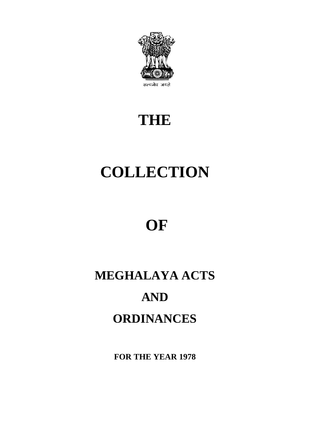

# **THE**

# **COLLECTION**

# **OF**

# **MEGHALAYA ACTS AND ORDINANCES**

**FOR THE YEAR 1978**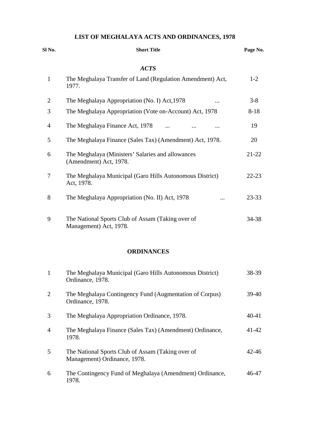# **LIST OF MEGHALAYA ACTS AND ORDINANCES, 1978**

| Sl No.         | <b>Short Title</b>                                                          | Page No.  |  |
|----------------|-----------------------------------------------------------------------------|-----------|--|
|                | <b>ACTS</b>                                                                 |           |  |
| $\mathbf{1}$   | The Meghalaya Transfer of Land (Regulation Amendment) Act,<br>1977.         | $1-2$     |  |
| $\overline{2}$ | The Meghalaya Appropriation (No. I) Act, 1978<br>                           | $3 - 8$   |  |
| 3              | The Meghalaya Appropriation (Vote on-Account) Act, 1978                     | $8 - 18$  |  |
| $\overline{4}$ | The Meghalaya Finance Act, 1978<br>$\dddotsc$                               | 19        |  |
| 5              | The Meghalaya Finance (Sales Tax) (Amendment) Act, 1978.                    | 20        |  |
| 6              | The Meghalaya (Ministers' Salaries and allowances<br>(Amendment) Act, 1978. | $21 - 22$ |  |
| 7              | The Meghalaya Municipal (Garo Hills Autonomous District)<br>Act, 1978.      | $22 - 23$ |  |
| 8              | The Meghalaya Appropriation (No. II) Act, 1978                              | 23-33     |  |
| 9              | The National Sports Club of Assam (Taking over of<br>Management) Act, 1978. | 34-38     |  |

# **ORDINANCES**

| $\mathbf{1}$   | The Meghalaya Municipal (Garo Hills Autonomous District)<br>Ordinance, 1978.      | 38-39     |
|----------------|-----------------------------------------------------------------------------------|-----------|
| 2              | The Meghalaya Contingency Fund (Augmentation of Corpus)<br>Ordinance, 1978.       | $39-40$   |
| 3              | The Meghalaya Appropriation Ordinance, 1978.                                      | $40 - 41$ |
| $\overline{4}$ | The Meghalaya Finance (Sales Tax) (Amendment) Ordinance,<br>1978.                 | $41 - 42$ |
| 5              | The National Sports Club of Assam (Taking over of<br>Management) Ordinance, 1978. | 42-46     |
| 6              | The Contingency Fund of Meghalaya (Amendment) Ordinance,<br>1978.                 | 46-47     |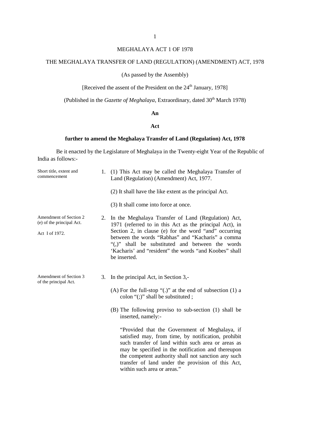# MEGHALAYA ACT 1 OF 1978

# THE MEGHALAYA TRANSFER OF LAND (REGULATION) (AMENDMENT) ACT, 1978

# (As passed by the Assembly)

[Received the assent of the President on the 24<sup>th</sup> January, 1978]

(Published in the *Gazette of Meghalaya*, Extraordinary, dated 30<sup>th</sup> March 1978)

#### **An**

### **Act**

#### **further to amend the Meghalaya Transfer of Land (Regulation) Act, 1978**

| Short title, extent and<br>commencement                               | 1. | (1) This Act may be called the Meghalaya Transfer of<br>Land (Regulation) (Amendment) Act, 1977.                                                                                                                                                                                                                                                           |
|-----------------------------------------------------------------------|----|------------------------------------------------------------------------------------------------------------------------------------------------------------------------------------------------------------------------------------------------------------------------------------------------------------------------------------------------------------|
|                                                                       |    | (2) It shall have the like extent as the principal Act.                                                                                                                                                                                                                                                                                                    |
|                                                                       |    | (3) It shall come into force at once.                                                                                                                                                                                                                                                                                                                      |
| Amendment of Section 2<br>(e) of the principal Act.<br>Act I of 1972. | 2. | In the Meghalaya Transfer of Land (Regulation) Act,<br>1971 (referred to in this Act as the principal Act), in<br>Section 2, in clause (e) for the word "and" occurring<br>between the words "Rabhas" and "Kacharis" a comma<br>"(,)" shall be substituted and between the words<br>'Kacharis' and "resident" the words "and Koobes" shall<br>be inserted. |
| Amendment of Section 3<br>of the principal Act.                       | 3. | In the principal Act, in Section 3,-<br>(A) For the full-stop " $(.)$ " at the end of subsection $(1)$ a<br>colon " $($ ; " shall be substituted ;<br>(B) The following proviso to sub-section (1) shall be<br>inserted, namely:-<br>"Provided that the Government of Meghalaya, if<br>satisfied may, from time, by notification, prohibit                 |
|                                                                       |    | such transfer of land within such area or areas as<br>may be specified in the notification and thereupon<br>the competent authority shall not sanction any such<br>transfer of land under the provision of this Act,<br>within such area or areas."                                                                                                        |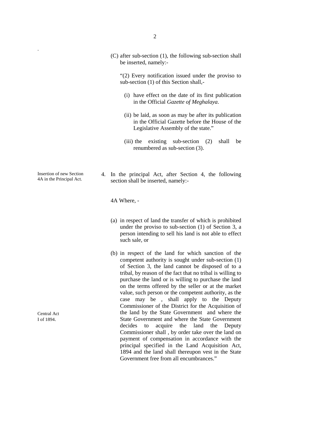(C) after sub-section (1), the following sub-section shall be inserted, namely:-

"(2) Every notification issued under the proviso to sub-section (1) of this Section shall,-

- (i) have effect on the date of its first publication in the Official *Gazette of Meghalaya*.
- (ii) be laid, as soon as may be after its publication in the Official Gazette before the House of the Legislative Assembly of the state."
- (iii) the existing sub-section (2) shall be renumbered as sub-section (3).
- 4. In the principal Act, after Section 4, the following section shall be inserted, namely:-

4A Where, -

- (a) in respect of land the transfer of which is prohibited under the proviso to sub-section (1) of Section 3, a person intending to sell his land is not able to effect such sale, or
- (b) in respect of the land for which sanction of the competent authority is sought under sub-section (1) of Section 3, the land cannot be disposed of to a tribal, by reason of the fact that no tribal is willing to purchase the land or is willing to purchase the land on the terms offered by the seller or at the market value, such person or the competent authority, as the case may be , shall apply to the Deputy Commissioner of the District for the Acquisition of the land by the State Government and where the State Government and where the State Government decides to acquire the land the Deputy Commissioner shall , by order take over the land on payment of compensation in accordance with the principal specified in the Land Acquisition Act, 1894 and the land shall thereupon vest in the State Government free from all encumbrances."

Insertion of new Section 4A in the Principal Act.

.

Central Act I of 1894.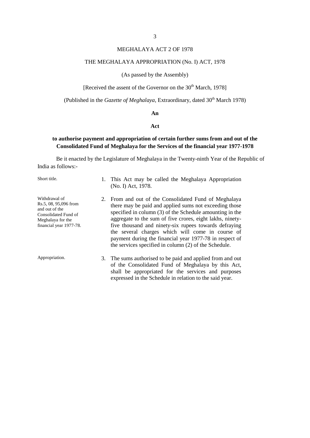# MEGHALAYA ACT 2 OF 1978

#### THE MEGHALAYA APPROPRIATION (No. I) ACT, 1978

#### (As passed by the Assembly)

[Received the assent of the Governor on the  $30<sup>th</sup>$  March, 1978]

(Published in the *Gazette of Meghalaya*, Extraordinary, dated 30<sup>th</sup> March 1978)

#### **An**

#### **Act**

# **to authorise payment and appropriation of certain further sums from and out of the Consolidated Fund of Meghalaya for the Services of the financial year 1977-1978**

| Short title.                                                                                                                     | 1. This Act may be called the Meghalaya Appropriation<br>(No. I) Act, 1978.                                                                                                                                                                                                                                                                                                                                                                                               |
|----------------------------------------------------------------------------------------------------------------------------------|---------------------------------------------------------------------------------------------------------------------------------------------------------------------------------------------------------------------------------------------------------------------------------------------------------------------------------------------------------------------------------------------------------------------------------------------------------------------------|
| Withdrawal of<br>Rs.5, 08, 95,096 from<br>and out of the<br>Consolidated Fund of<br>Meghalaya for the<br>financial year 1977-78. | 2. From and out of the Consolidated Fund of Meghalaya<br>there may be paid and applied sums not exceeding those<br>specified in column (3) of the Schedule amounting in the<br>aggregate to the sum of five crores, eight lakhs, ninety-<br>five thousand and ninety-six rupees towards defraying<br>the several charges which will come in course of<br>payment during the financial year 1977-78 in respect of<br>the services specified in column (2) of the Schedule. |
| Appropriation.                                                                                                                   | 3. The sums authorised to be paid and applied from and out<br>of the Consolidated Fund of Meghalaya by this Act,<br>shall be appropriated for the services and purposes<br>expressed in the Schedule in relation to the said year.                                                                                                                                                                                                                                        |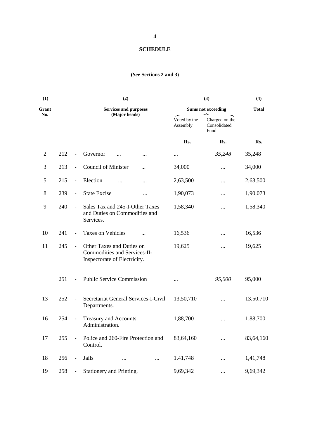# **SCHEDULE**

# **(***See* **Sections 2 and 3)**

| (1)            |     |                          | (2)                                                                                       |                           | (3)                                    | (4)          |  |
|----------------|-----|--------------------------|-------------------------------------------------------------------------------------------|---------------------------|----------------------------------------|--------------|--|
| Grant          |     |                          | <b>Services and purposes</b>                                                              | <b>Sums not exceeding</b> |                                        | <b>Total</b> |  |
| No.            |     |                          | (Major heads)                                                                             | Voted by the<br>Assembly  | Charged on the<br>Consolidated<br>Fund |              |  |
|                |     |                          |                                                                                           | Rs.                       | Rs.                                    | Rs.          |  |
| $\mathfrak{2}$ | 212 | $\blacksquare$           | Governor<br><br>                                                                          |                           | 35,248                                 | 35,248       |  |
| 3              | 213 | $\overline{\phantom{a}}$ | <b>Council of Minister</b><br>$\cdots$                                                    | 34,000                    | $\cdots$                               | 34,000       |  |
| 5              | 215 | $\overline{\phantom{a}}$ | Election<br>                                                                              | 2,63,500                  | $\cdots$                               | 2,63,500     |  |
| $8\,$          | 239 | $\blacksquare$           | <b>State Excise</b><br>                                                                   | 1,90,073                  |                                        | 1,90,073     |  |
| 9              | 240 | $\blacksquare$           | Sales Tax and 245-I-Other Taxes<br>and Duties on Commodities and<br>Services.             | 1,58,340                  |                                        | 1,58,340     |  |
| 10             | 241 | $\overline{\phantom{a}}$ | Taxes on Vehicles                                                                         | 16,536                    |                                        | 16,536       |  |
| 11             | 245 | $\blacksquare$           | Other Taxes and Duties on<br>Commodities and Services-II-<br>Inspectorate of Electricity. | 19,625                    |                                        | 19,625       |  |
|                | 251 | $\overline{\phantom{a}}$ | <b>Public Service Commission</b>                                                          |                           | 95,000                                 | 95,000       |  |
| 13             | 252 | $\overline{\phantom{a}}$ | Secretariat General Services-I-Civil<br>Departments.                                      | 13,50,710                 |                                        | 13,50,710    |  |
| 16             | 254 | $\overline{\phantom{a}}$ | <b>Treasury and Accounts</b><br>Administration.                                           | 1,88,700                  |                                        | 1,88,700     |  |
| 17             | 255 |                          | Police and 260-Fire Protection and<br>Control.                                            | 83,64,160                 |                                        | 83,64,160    |  |
| 18             | 256 | ÷,                       | Jails<br>$\cdots$                                                                         | 1,41,748                  |                                        | 1,41,748     |  |
| 19             | 258 |                          | Stationery and Printing.                                                                  | 9,69,342                  | $\cdots$                               | 9,69,342     |  |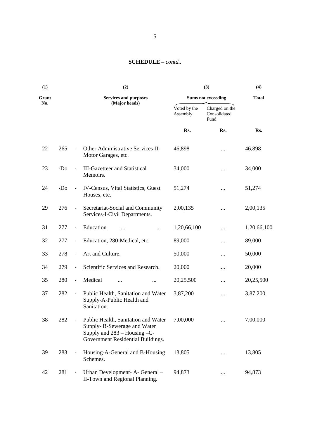# **SCHEDULE –** *contd..*

| (1)          |       |                          | (2)                                                                                                                                          | (3)<br>(4)                                                 |                                        |             |
|--------------|-------|--------------------------|----------------------------------------------------------------------------------------------------------------------------------------------|------------------------------------------------------------|----------------------------------------|-------------|
| Grant<br>No. |       |                          | <b>Services and purposes</b>                                                                                                                 | <b>Total</b><br><b>Sums not exceeding</b><br>(Major heads) |                                        |             |
|              |       |                          |                                                                                                                                              | Voted by the<br>Assembly                                   | Charged on the<br>Consolidated<br>Fund |             |
|              |       |                          |                                                                                                                                              | Rs.                                                        | Rs.                                    | Rs.         |
| 22           | 265   | $\blacksquare$           | Other Administrative Services-II-<br>Motor Garages, etc.                                                                                     | 46,898                                                     |                                        | 46,898      |
| 23           | $-D0$ | $\overline{\phantom{a}}$ | <b>III-Gazetteer and Statistical</b><br>Memoirs.                                                                                             | 34,000                                                     |                                        | 34,000      |
| 24           | $-D0$ | $\blacksquare$           | IV-Census, Vital Statistics, Guest<br>Houses, etc.                                                                                           | 51,274                                                     |                                        | 51,274      |
| 29           | 276   | $\Box$                   | Secretariat-Social and Community<br>Services-I-Civil Departments.                                                                            | 2,00,135                                                   |                                        | 2,00,135    |
| 31           | 277   | $\blacksquare$           | Education<br>$\cdots$                                                                                                                        | 1,20,66,100                                                |                                        | 1,20,66,100 |
| 32           | 277   | $\blacksquare$           | Education, 280-Medical, etc.                                                                                                                 | 89,000                                                     |                                        | 89,000      |
| 33           | 278   | $\overline{\phantom{a}}$ | Art and Culture.                                                                                                                             | 50,000                                                     |                                        | 50,000      |
| 34           | 279   | $\overline{\phantom{a}}$ | Scientific Services and Research.                                                                                                            | 20,000                                                     |                                        | 20,000      |
| 35           | 280   | $\overline{\phantom{a}}$ | Medical<br>$\ddotsc$                                                                                                                         | 20,25,500                                                  |                                        | 20,25,500   |
| 37           | 282   | $\overline{\phantom{a}}$ | Public Health, Sanitation and Water<br>Supply-A-Public Health and<br>Sanitation.                                                             | 3,87,200                                                   |                                        | 3,87,200    |
| 38           | 282   |                          | Public Health, Sanitation and Water<br>Supply-B-Sewerage and Water<br>Supply and $283 -$ Housing $-C$ -<br>Government Residential Buildings. | 7,00,000                                                   |                                        | 7,00,000    |
| 39           | 283   |                          | Housing-A-General and B-Housing<br>Schemes.                                                                                                  | 13,805                                                     |                                        | 13,805      |
| 42           | 281   | $\blacksquare$           | Urban Development- A- General -<br>II-Town and Regional Planning.                                                                            | 94,873                                                     |                                        | 94,873      |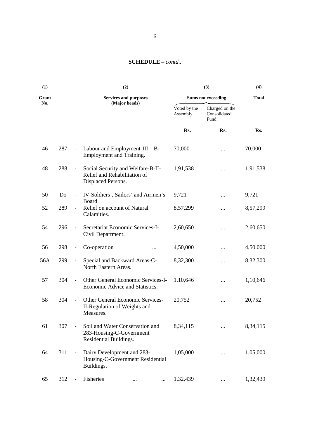# **SCHEDULE –** *contd..*

| (1)   |     |                              | (2)                                                                                     |                                           | (3)                                    | (4)      |  |
|-------|-----|------------------------------|-----------------------------------------------------------------------------------------|-------------------------------------------|----------------------------------------|----------|--|
| Grant |     |                              | <b>Services and purposes</b>                                                            | <b>Sums not exceeding</b><br><b>Total</b> |                                        |          |  |
| No.   |     |                              | (Major heads)                                                                           | Voted by the<br>Assembly                  | Charged on the<br>Consolidated<br>Fund |          |  |
|       |     |                              |                                                                                         | Rs.                                       | Rs.                                    | Rs.      |  |
| 46    | 287 | $\overline{\phantom{a}}$     | Labour and Employment-III-B-<br>Employment and Training.                                | 70,000                                    |                                        | 70,000   |  |
| 48    | 288 | $\overline{\phantom{a}}$     | Social Security and Welfare-B-II-<br>Relief and Rehabilitation of<br>Displaced Persons. | 1,91,538                                  |                                        | 1,91,538 |  |
| 50    | Do  | $\overline{\phantom{a}}$     | IV-Soldiers', Sailors' and Airmen's<br>Board                                            | 9,721                                     | .                                      | 9,721    |  |
| 52    | 289 | $\overline{\phantom{a}}$     | Relief on account of Natural<br>Calamities.                                             | 8,57,299                                  |                                        | 8,57,299 |  |
| 54    | 296 | $\overline{\phantom{a}}$     | Secretariat Economic Services-I-<br>Civil Department.                                   | 2,60,650                                  |                                        | 2,60,650 |  |
| 56    | 298 | $\overline{\phantom{a}}$     | Co-operation                                                                            | 4,50,000                                  |                                        | 4,50,000 |  |
| 56A   | 299 | $\overline{\phantom{a}}$     | Special and Backward Areas-C-<br>North Eastern Areas.                                   | 8,32,300                                  |                                        | 8,32,300 |  |
| 57    | 304 | $\overline{\phantom{a}}$     | Other General Economic Services-I-<br>Economic Advice and Statistics.                   | 1,10,646                                  |                                        | 1,10,646 |  |
| 58    | 304 | $\qquad \qquad \blacksquare$ | Other General Economic Services-<br>II-Regulation of Weights and<br>Measures.           | 20,752                                    |                                        | 20,752   |  |
| 61    | 307 |                              | Soil and Water Conservation and<br>283-Housing-C-Government<br>Residential Buildings.   | 8,34,115                                  |                                        | 8,34,115 |  |
| 64    | 311 |                              | Dairy Development and 283-<br>Housing-C-Government Residential<br>Buildings.            | 1,05,000                                  |                                        | 1,05,000 |  |
| 65    | 312 |                              | Fisheries<br><br>$\cdots$                                                               | 1,32,439                                  |                                        | 1,32,439 |  |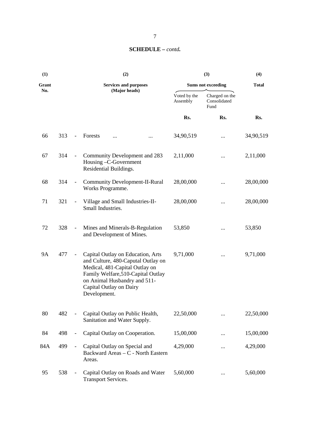# **SCHEDULE –** *contd.*

| (1)       |     | (2)<br>(3)               |                                                                                                                                                                                                                            |                           | (4)                                    |              |
|-----------|-----|--------------------------|----------------------------------------------------------------------------------------------------------------------------------------------------------------------------------------------------------------------------|---------------------------|----------------------------------------|--------------|
| Grant     |     |                          | <b>Services and purposes</b>                                                                                                                                                                                               | <b>Sums not exceeding</b> |                                        | <b>Total</b> |
| No.       |     |                          | (Major heads)                                                                                                                                                                                                              | Voted by the<br>Assembly  | Charged on the<br>Consolidated<br>Fund |              |
|           |     |                          |                                                                                                                                                                                                                            | Rs.                       | Rs.                                    | Rs.          |
| 66        | 313 | $\frac{1}{2}$            | Forests<br><br>                                                                                                                                                                                                            | 34,90,519                 | $\cdots$                               | 34,90,519    |
| 67        | 314 | $\overline{\phantom{a}}$ | Community Development and 283<br>Housing -C-Government<br>Residential Buildings.                                                                                                                                           | 2,11,000                  |                                        | 2,11,000     |
| 68        | 314 | $\blacksquare$           | <b>Community Development-II-Rural</b><br>Works Programme.                                                                                                                                                                  | 28,00,000                 | $\cdots$                               | 28,00,000    |
| 71        | 321 | $\frac{1}{2}$            | Village and Small Industries-II-<br>Small Industries.                                                                                                                                                                      | 28,00,000                 | $\cdots$                               | 28,00,000    |
| 72        | 328 | $\overline{\phantom{a}}$ | Mines and Minerals-B-Regulation<br>and Development of Mines.                                                                                                                                                               | 53,850                    | $\cdots$                               | 53,850       |
| <b>9A</b> | 477 | $\overline{\phantom{a}}$ | Capital Outlay on Education, Arts<br>and Culture, 480-Caputal Outlay on<br>Medical, 481-Capital Outlay on<br>Family Welfare, 510-Capital Outlay<br>on Animal Husbandry and 511-<br>Capital Outlay on Dairy<br>Development. | 9,71,000                  |                                        | 9,71,000     |
| 80        | 482 |                          | Capital Outlay on Public Health,<br>Sanitation and Water Supply.                                                                                                                                                           | 22,50,000                 |                                        | 22,50,000    |
| 84        | 498 | $\frac{1}{2}$            | Capital Outlay on Cooperation.                                                                                                                                                                                             | 15,00,000                 |                                        | 15,00,000    |
| 84A       | 499 | $\blacksquare$           | Capital Outlay on Special and<br>Backward Areas - C - North Eastern<br>Areas.                                                                                                                                              | 4,29,000                  | $\cdots$                               | 4,29,000     |
| 95        | 538 |                          | Capital Outlay on Roads and Water<br><b>Transport Services.</b>                                                                                                                                                            | 5,60,000                  |                                        | 5,60,000     |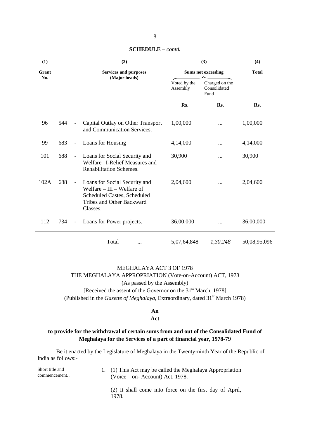| (1)   |     |                          | (2)                                                                                                                                     |                          | (3)                                    | (4)          |  |
|-------|-----|--------------------------|-----------------------------------------------------------------------------------------------------------------------------------------|--------------------------|----------------------------------------|--------------|--|
| Grant |     |                          | <b>Services and purposes</b>                                                                                                            |                          | <b>Sums not exceeding</b>              | <b>Total</b> |  |
| No.   |     |                          | (Major heads)                                                                                                                           | Voted by the<br>Assembly | Charged on the<br>Consolidated<br>Fund |              |  |
|       |     |                          |                                                                                                                                         | Rs.                      | Rs.                                    | Rs.          |  |
| 96    | 544 | $\overline{\phantom{a}}$ | Capital Outlay on Other Transport<br>and Communication Services.                                                                        | 1,00,000                 |                                        | 1,00,000     |  |
| 99    | 683 | $\overline{\phantom{a}}$ | Loans for Housing                                                                                                                       | 4,14,000                 |                                        | 4,14,000     |  |
| 101   | 688 | $\overline{\phantom{a}}$ | Loans for Social Security and<br>Welfare - I-Relief Measures and<br>Rehabilitation Schemes.                                             | 30,900                   |                                        | 30,900       |  |
| 102A  | 688 | $\blacksquare$           | Loans for Social Security and<br>Welfare $-$ III $-$ Welfare of<br>Scheduled Castes, Scheduled<br>Tribes and Other Backward<br>Classes. | 2,04,600                 |                                        | 2,04,600     |  |
| 112   | 734 | $\equiv$                 | Loans for Power projects.                                                                                                               | 36,00,000                |                                        | 36,00,000    |  |
|       |     |                          | Total<br>                                                                                                                               | 5,07,64,848              | 1,30,248                               | 50,08,95,096 |  |

### **SCHEDULE –** *contd.*

# MEGHALAYA ACT 3 OF 1978 THE MEGHALAYA APPROPRIATION (Vote-on-Account) ACT, 1978 (As passed by the Assembly) [Received the assent of the Governor on the 31<sup>st</sup> March, 1978]

(Published in the *Gazette of Meghalaya*, Extraordinary, dated 31<sup>st</sup> March 1978)

# **An**

#### **Act**

# **to provide for the withdrawal of certain sums from and out of the Consolidated Fund of Meghalaya for the Services of a part of financial year, 1978-79**

| Short title and<br>commencement | 1. (1) This Act may be called the Meghalaya Appropriation<br>$(Voice - on - Account)$ Act, 1978. |
|---------------------------------|--------------------------------------------------------------------------------------------------|
|                                 | (2) It shall come into force on the first day of April,<br>1978.                                 |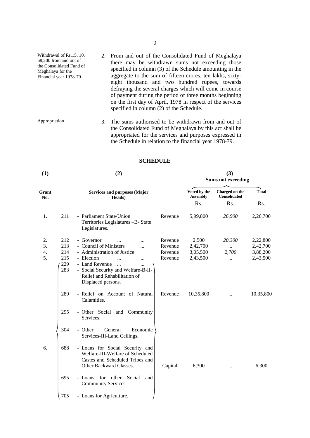- Withdrawal of Rs.15, 10, 68,200 from and out of the Consolidated Fund of Meghalaya for the Financial year 1978-79. 2. From and out of the Consolidated Fund of Meghalaya there may be withdrawn sums not exceeding those specified in column (3) of the Schedule amounting in the aggregate to the sum of fifteen crores, ten lakhs, sixty eight thousand and two hundred rupees, towards defraying the several charges which will come in course of payment during the period of three months beginning on the first day of April, 1978 in respect of the services specified in column (2) of the Schedule.
- Appropriation 3. The sums authorised to be withdrawn from and out of the Consolidated Fund of Meghalaya by this act shall be appropriated for the services and purposes expressed in the Schedule in relation to the financial year 1978-79.

#### **SCHEDULE**

| (1)          |     | (2)                                                                                                                               | (3)<br><b>Sums not exceeding</b> |                                 |                                       |              |
|--------------|-----|-----------------------------------------------------------------------------------------------------------------------------------|----------------------------------|---------------------------------|---------------------------------------|--------------|
| Grant<br>No. |     | <b>Services and purposes (Major</b><br>Heads)                                                                                     |                                  | Voted by the<br><b>Assembly</b> | Charged on the<br><b>Consolidated</b> | <b>Total</b> |
|              |     |                                                                                                                                   |                                  | Rs.                             | R <sub>s</sub> .                      | Rs.          |
| 1.           | 211 | - Parliament State/Union<br>Territories Legislatures -B- State<br>Legislatures.                                                   | Revenue                          | 5,99,800                        | 26,900                                | 2,26,700     |
| 2.           | 212 | - Governor<br>$\ddotsc$<br>$\ddotsc$                                                                                              | Revenue                          | 2,500                           | 20,300                                | 2,22,800     |
| 3.           | 213 | - Council of Ministers<br>$\ddotsc$                                                                                               | Revenue                          | 2,42,700                        | $\cdots$                              | 2,42,700     |
| 4.           | 214 | - Administration of Justice                                                                                                       | Revenue                          | 3,05,500                        | 2,700                                 | 3,88,200     |
| 5.           | 215 | - Election<br>$\ddotsc$<br>                                                                                                       | Revenue                          | 2,43,500                        | $\cdots$                              | 2,43,500     |
|              | 229 | - Land Revenue<br>$\ddotsc$<br>.                                                                                                  |                                  |                                 |                                       |              |
|              | 283 | - Social Security and Welfare-B-II-<br>Relief and Rehabilitation of<br>Displaced persons.                                         |                                  |                                 |                                       |              |
|              | 289 | - Relief on Account of Natural<br>Calamities.                                                                                     | Revenue                          | 10,35,800                       | $\cdots$                              | 10,35,800    |
|              | 295 | - Other Social<br>and Community<br>Services.                                                                                      |                                  |                                 |                                       |              |
|              | 304 | - Other<br>General<br>Economic<br>Services-III-Land Ceilings.                                                                     |                                  |                                 |                                       |              |
| 6.           | 688 | - Loans for Social Security and<br>Welfare-III-Welfare of Scheduled<br>Castes and Scheduled Tribes and<br>Other Backward Classes. | Capital                          | 6,300                           | $\cdots$                              | 6,300        |
|              | 695 | - Loans for other<br>Social<br>and<br>Community Services.                                                                         |                                  |                                 |                                       |              |
|              | 705 | - Loans for Agriculture.                                                                                                          |                                  |                                 |                                       |              |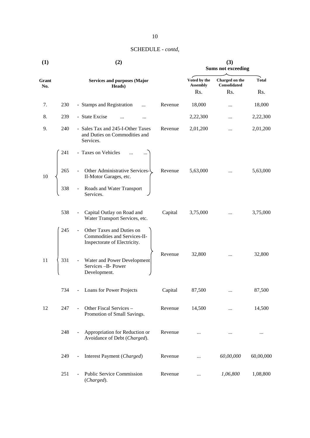| (1)          |     | (2)                                                                                             | (3)<br><b>Sums not exceeding</b> |                                |              |           |
|--------------|-----|-------------------------------------------------------------------------------------------------|----------------------------------|--------------------------------|--------------|-----------|
| Grant<br>No. |     | <b>Services and purposes (Major</b><br>Heads)                                                   | Voted by the<br><b>Assembly</b>  | Charged on the<br>Consolidated | <b>Total</b> |           |
|              |     |                                                                                                 |                                  | Rs.                            | Rs.          | Rs.       |
| 7.           | 230 | - Stamps and Registration<br>                                                                   | Revenue                          | 18,000                         | $\cdots$     | 18,000    |
| 8.           | 239 | - State Excise<br>                                                                              |                                  | 2,22,300                       | $\cdots$     | 2,22,300  |
| 9.           | 240 | - Sales Tax and 245-I-Other Taxes<br>and Duties on Commodities and<br>Services.                 | Revenue                          | 2,01,200                       | $\cdots$     | 2,01,200  |
|              | 241 | - Taxes on Vehicles                                                                             |                                  |                                |              |           |
| 10           | 265 | Other Administrative Services-<br>II-Motor Garages, etc.                                        | Revenue                          | 5,63,000                       |              | 5,63,000  |
|              | 338 | Roads and Water Transport<br>Services.                                                          |                                  |                                |              |           |
|              | 538 | Capital Outlay on Road and<br>$\blacksquare$<br>Water Transport Services, etc.                  | Capital                          | 3,75,000                       |              | 3,75,000  |
|              | 245 | Other Taxes and Duties on<br>÷,<br>Commodities and Services-II-<br>Inspectorate of Electricity. |                                  |                                |              |           |
| 11           | 331 | Water and Power Development<br>$\overline{\phantom{a}}$<br>Services -B- Power<br>Development.   | Revenue                          | 32,800                         |              | 32,800    |
|              | 734 | <b>Loans for Power Projects</b><br>$\blacksquare$                                               | Capital                          | 87,500                         |              | 87,500    |
| 12           | 247 | Other Fiscal Services -<br>$\mathbb{L}^2$<br>Promotion of Small Savings.                        | Revenue                          | 14,500                         | $\cdots$     | 14,500    |
|              | 248 | Appropriation for Reduction or<br>$\blacksquare$<br>Avoidance of Debt (Charged).                | Revenue                          |                                | $\cdots$     | $\cdots$  |
|              | 249 | Interest Payment (Charged)<br>$\frac{1}{2}$                                                     | Revenue                          | $\cdots$                       | 60,00,000    | 60,00,000 |
|              | 251 | <b>Public Service Commission</b><br>(Charged).                                                  | Revenue                          |                                | 1,06,800     | 1,08,800  |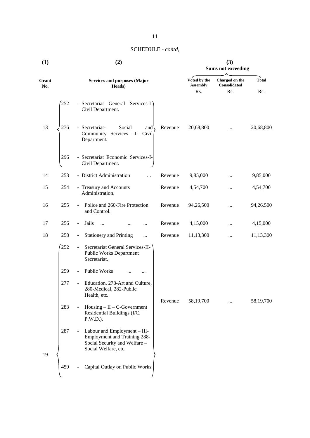| (1)          |     | (2)                                                                                                                          | (3)<br><b>Sums not exceeding</b> |                                 |                                |              |
|--------------|-----|------------------------------------------------------------------------------------------------------------------------------|----------------------------------|---------------------------------|--------------------------------|--------------|
| Grant<br>No. |     | <b>Services and purposes (Major</b><br>Heads)                                                                                |                                  | Voted by the<br><b>Assembly</b> | Charged on the<br>Consolidated | <b>Total</b> |
|              |     |                                                                                                                              |                                  | Rs.                             | Rs.                            | Rs.          |
|              | 252 | Secretariat General<br>Services-I-<br>Civil Department.                                                                      |                                  |                                 |                                |              |
| 13           | 276 | Social<br>- Secretariat-<br>and <sup>'</sup><br>Community<br>Services - I- Civil<br>Department.                              | Revenue                          | 20,68,800                       | $\cdots$                       | 20,68,800    |
|              | 296 | - Secretariat Economic Services-I-<br>Civil Department.                                                                      |                                  |                                 |                                |              |
| 14           | 253 | - District Administration<br>$\dddotsc$                                                                                      | Revenue                          | 9,85,000                        |                                | 9,85,000     |
| 15           | 254 | - Treasury and Accounts<br>Administration.                                                                                   | Revenue                          | 4,54,700                        |                                | 4,54,700     |
| 16           | 255 | Police and 260-Fire Protection<br>and Control.                                                                               | Revenue                          | 94,26,500                       |                                | 94,26,500    |
| 17           | 256 | Jails<br>$\blacksquare$<br>$\ddotsc$<br>$\cdots$                                                                             | Revenue                          | 4,15,000                        |                                | 4,15,000     |
| 18           | 258 | <b>Stationery and Printing</b><br>÷,<br>$\cdots$                                                                             | Revenue                          | 11,13,300                       |                                | 11,13,300    |
|              | 252 | Secretariat General Services-II-<br>$\overline{\phantom{a}}$<br><b>Public Works Department</b><br>Secretariat.               |                                  |                                 |                                |              |
|              | 259 | Public Works<br>$\ddotsc$<br>.                                                                                               |                                  |                                 |                                |              |
|              | 277 | Education, 278-Art and Culture,<br>$\overline{\phantom{a}}$<br>280-Medical, 282-Public<br>Health, etc.                       |                                  |                                 |                                |              |
|              | 283 | $H \text{ousing} - \text{II} - \text{C-Government}$<br>Residential Buildings (I/C,<br>P.W.D.).                               | Revenue                          | 58,19,700                       | $\ddotsc$                      | 58,19,700    |
|              | 287 | Labour and Employment - III-<br><b>Employment and Training 288-</b><br>Social Security and Welfare -<br>Social Welfare, etc. |                                  |                                 |                                |              |
| 19           | 459 | Capital Outlay on Public Works.                                                                                              |                                  |                                 |                                |              |

# 11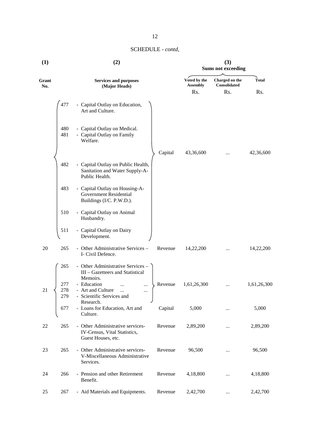| (1)          |            | (2)                                                                                         |         |                                 | (3)<br><b>Sums not exceeding</b> |              |
|--------------|------------|---------------------------------------------------------------------------------------------|---------|---------------------------------|----------------------------------|--------------|
| Grant<br>No. |            | <b>Services and purposes</b><br>(Major Heads)                                               |         | Voted by the<br><b>Assembly</b> | Charged on the<br>Consolidated   | <b>Total</b> |
|              |            |                                                                                             |         | Rs.                             | Rs.                              | Rs.          |
|              | 477        | - Capital Outlay on Education,<br>Art and Culture.                                          |         |                                 |                                  |              |
|              | 480<br>481 | - Capital Outlay on Medical.<br>- Capital Outlay on Family<br>Welfare.                      |         |                                 |                                  |              |
|              |            |                                                                                             | Capital | 43,36,600                       |                                  | 42,36,600    |
|              | 482        | - Capital Outlay on Public Health,<br>Sanitation and Water Supply-A-<br>Public Health.      |         |                                 |                                  |              |
|              | 483        | - Capital Outlay on Housing-A-<br><b>Government Residential</b><br>Buildings (I/C. P.W.D.). |         |                                 |                                  |              |
|              | 510        | - Capital Outlay on Animal<br>Husbandry.                                                    |         |                                 |                                  |              |
|              | 511        | - Capital Outlay on Dairy<br>Development.                                                   |         |                                 |                                  |              |
| 20           | 265        | - Other Administrative Services -<br>I- Civil Defence.                                      | Revenue | 14,22,200                       |                                  | 14,22,200    |
|              | 265        | - Other Administrative Services -<br>III - Gazetteers and Statistical<br>Memoirs.           |         |                                 |                                  |              |
|              | 277        | - Education<br>                                                                             | Revenue | 1,61,26,300                     |                                  | 1,61,26,300  |
| 21           | 278<br>279 | - Art and Culture<br><br><br>- Scientific Services and<br>Research.                         |         |                                 |                                  |              |
|              | 677        | - Loans for Education, Art and<br>Culture.                                                  | Capital | 5,000                           |                                  | 5,000        |
| 22           | 265        | - Other Administrative services-<br>IV-Census, Vital Statistics,<br>Guest Houses, etc.      | Revenue | 2,89,200                        |                                  | 2,89,200     |
| 23           | 265        | - Other Administrative services-<br>V-Miscellaneous Administrative<br>Services.             | Revenue | 96,500                          |                                  | 96,500       |
| 24           | 266        | - Pension and other Retirement<br>Benefit.                                                  | Revenue | 4,18,800                        |                                  | 4,18,800     |
| 25           | 267        | - Aid Materials and Equipments.                                                             | Revenue | 2,42,700                        | $\cdots$                         | 2,42,700     |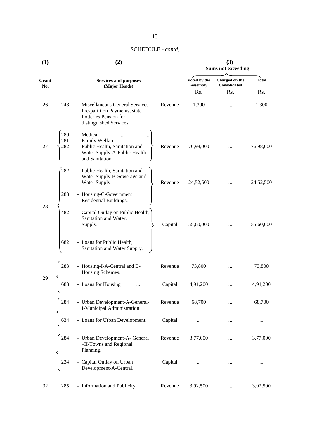| (1)          |            | (2)                                                                                                                    | (3)<br><b>Sums not exceeding</b> |                                 |                                |              |
|--------------|------------|------------------------------------------------------------------------------------------------------------------------|----------------------------------|---------------------------------|--------------------------------|--------------|
| Grant<br>No. |            | <b>Services and purposes</b><br>(Major Heads)                                                                          |                                  | Voted by the<br><b>Assembly</b> | Charged on the<br>Consolidated | <b>Total</b> |
|              |            |                                                                                                                        |                                  | Rs.                             | Rs.                            | Rs.          |
| 26           | 248        | - Miscellaneous General Services,<br>Pre-partition Payments, state<br>Lotteries Pension for<br>distinguished Services. | Revenue                          | 1,300                           |                                | 1,300        |
|              | 280        | - Medical                                                                                                              |                                  |                                 |                                |              |
| 27           | 281<br>282 | - Family Welfare<br>- Public Health, Sanitation and<br>Water Supply-A-Public Health<br>and Sanitation.                 | Revenue                          | 76,98,000                       |                                | 76,98,000    |
|              | 282        | - Public Health, Sanitation and<br>Water Supply-B-Sewerage and<br>Water Supply.                                        | Revenue                          | 24,52,500                       |                                | 24,52,500    |
| 28           | 283        | - Housing-C-Government<br>Residential Buildings.                                                                       |                                  |                                 |                                |              |
|              | 482        | - Capital Outlay on Public Health,<br>Sanitation and Water,<br>Supply.                                                 | Capital                          | 55,60,000                       |                                | 55,60,000    |
|              | 682        | - Loans for Public Health,<br>Sanitation and Water Supply.                                                             |                                  |                                 |                                |              |
|              | 283        | - Housing-I-A-Central and B-<br>Housing Schemes.                                                                       | Revenue                          | 73,800                          | $\cdots$                       | 73,800       |
| 29           | 683        | - Loans for Housing<br>                                                                                                | Capital                          | 4,91,200                        |                                | 4,91,200     |
|              | 284        | - Urban Development-A-General-<br>I-Municipal Administration.                                                          | Revenue                          | 68,700                          |                                | 68,700       |
|              | 634        | - Loans for Urban Development.                                                                                         | Capital                          |                                 |                                |              |
|              | 284        | - Urban Development-A- General<br>-II-Towns and Regional<br>Planning.                                                  | Revenue                          | 3,77,000                        | $\cdots$                       | 3,77,000     |
|              | 234        | Capital Outlay on Urban<br>Development-A-Central.                                                                      | Capital                          |                                 | $\cdots$                       |              |
| 32           | 285        | - Information and Publicity                                                                                            | Revenue                          | 3,92,500                        |                                | 3,92,500     |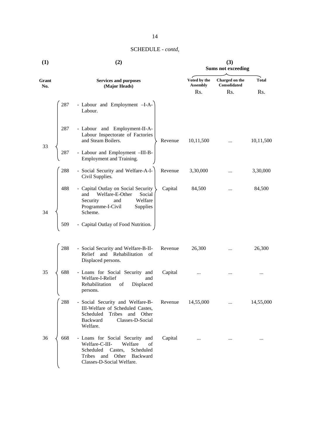| $\bf(1)$     |          | (2)                                                                                                                                                                          |                                 | (3)<br><b>Sums not exceeding</b> |              |  |  |
|--------------|----------|------------------------------------------------------------------------------------------------------------------------------------------------------------------------------|---------------------------------|----------------------------------|--------------|--|--|
| Grant<br>No. |          | <b>Services and purposes</b><br>(Major Heads)                                                                                                                                | Voted by the<br><b>Assembly</b> | Charged on the<br>Consolidated   | <b>Total</b> |  |  |
|              |          |                                                                                                                                                                              | Rs.                             | Rs.                              | Rs.          |  |  |
|              | 287      | - Labour and Employment -I-A-<br>Labour.                                                                                                                                     |                                 |                                  |              |  |  |
|              | 287      | - Labour and Employment-II-A-<br>Labour Inspectorate of Factories<br>and Steam Boilers.<br>Revenue                                                                           | 10,11,500                       | $\cdots$                         | 10,11,500    |  |  |
| 33           | 287      | - Labour and Employment -III-B-<br>Employment and Training.                                                                                                                  |                                 |                                  |              |  |  |
|              | 288      | - Social Security and Welfare-A-I-<br>Revenue<br>Civil Supplies.                                                                                                             | 3,30,000                        |                                  | 3,30,000     |  |  |
| 34           | 488      | - Capital Outlay on Social Security<br>Capital<br>Welfare-E-Other<br>and<br>Social<br>Security<br>Welfare<br>and<br>Programme-I-Civil<br>Supplies<br>Scheme.                 | 84,500                          | $\cdots$                         | 84,500       |  |  |
|              | 509      | - Capital Outlay of Food Nutrition.                                                                                                                                          |                                 |                                  |              |  |  |
|              | 288      | - Social Security and Welfare-B-II-<br>Revenue<br>Relief<br>and Rehabilitation of<br>Displaced persons.                                                                      | 26,300                          | $\cdots$                         | 26,300       |  |  |
| 35           | 688<br>╰ | - Loans for Social Security and<br>Capital<br>Welfare-I-Relief<br>and<br>Rehabilitation<br>of<br>Displaced<br>persons.                                                       |                                 | $\cdots$                         |              |  |  |
|              | 288      | - Social Security and Welfare-B-<br>Revenue<br>III-Welfare of Scheduled Castes,<br>Tribes<br>and Other<br>Scheduled<br>Classes-D-Social<br>Backward<br>Welfare.              | 14,55,000                       | $\cdots$                         | 14,55,000    |  |  |
| 36           | 668      | - Loans for Social Security and<br>Capital<br>Welfare-C-III-<br>Welfare<br>of<br>Scheduled<br>Scheduled<br>Castes,<br>Tribes and Other Backward<br>Classes-D-Social Welfare. | $\cdots$                        | $\cdots$                         | $\cdots$     |  |  |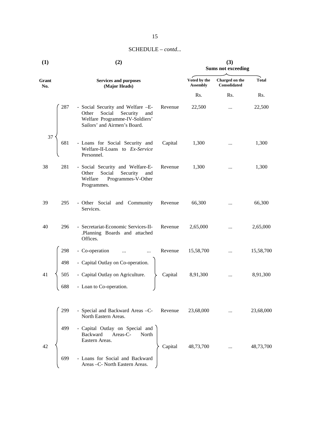# SCHEDULE – *contd...*

| (1)          |     | (2)                                                                                                                                       | (3)<br><b>Sums not exceeding</b> |                                 |                                |              |
|--------------|-----|-------------------------------------------------------------------------------------------------------------------------------------------|----------------------------------|---------------------------------|--------------------------------|--------------|
| Grant<br>No. |     | <b>Services and purposes</b><br>(Major Heads)                                                                                             |                                  | Voted by the<br><b>Assembly</b> | Charged on the<br>Consolidated | <b>Total</b> |
|              |     |                                                                                                                                           |                                  | Rs.                             | Rs.                            | Rs.          |
|              | 287 | - Social Security and Welfare -E-<br>Social<br>Other<br>Security<br>and<br>Welfare Programme-IV-Soldiers'<br>Sailors' and Airmen's Board. | Revenue                          | 22,500                          | $\cdots$                       | 22,500       |
| 37           | 681 | - Loans for Social Security and<br>Welfare-II-Loans to Ex-Service<br>Personnel.                                                           | Capital                          | 1,300                           | $\cdots$                       | 1,300        |
| 38           | 281 | - Social Security and Welfare-E-<br>Social<br>Security<br>Other<br>and<br>Welfare<br>Programmes-V-Other<br>Programmes.                    | Revenue                          | 1,300                           | $\cdots$                       | 1,300        |
| 39           | 295 | - Other Social and Community<br>Services.                                                                                                 | Revenue                          | 66,300                          |                                | 66,300       |
| 40           | 296 | - Secretariat-Economic Services-II-<br>.Planning Boards and attached<br>Offices.                                                          | Revenue                          | 2,65,000                        |                                | 2,65,000     |
|              | 298 | - Co-operation                                                                                                                            | Revenue                          | 15,58,700                       | $\cdots$                       | 15,58,700    |
|              | 498 | - Capital Outlay on Co-operation.                                                                                                         |                                  |                                 |                                |              |
| 41           | 505 | - Capital Outlay on Agriculture.                                                                                                          | Capital                          | 8,91,300                        | $\cdots$                       | 8,91,300     |
|              | 688 | - Loan to Co-operation.                                                                                                                   |                                  |                                 |                                |              |
|              | 299 | - Special and Backward Areas -C-<br>North Eastern Areas.                                                                                  | Revenue                          | 23,68,000                       |                                | 23,68,000    |
| 42           | 499 | - Capital Outlay on Special and<br>Backward<br>Areas-C-<br>North<br>Eastern Areas.                                                        | Capital                          | 48,73,700                       |                                | 48,73,700    |
|              | 699 | - Loans for Social and Backward<br>Areas - C- North Eastern Areas.                                                                        |                                  |                                 |                                |              |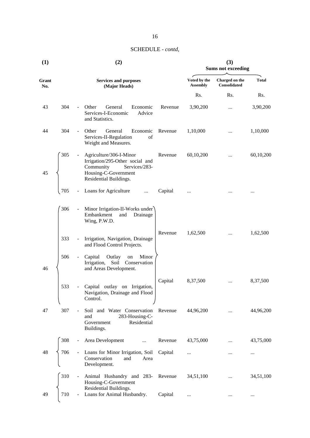| (1)          |     |                          | (2)                                                                                                                                        | (3)<br><b>Sums not exceeding</b> |                                 |                                |              |
|--------------|-----|--------------------------|--------------------------------------------------------------------------------------------------------------------------------------------|----------------------------------|---------------------------------|--------------------------------|--------------|
| Grant<br>No. |     |                          | <b>Services and purposes</b><br>(Major Heads)                                                                                              |                                  | Voted by the<br><b>Assembly</b> | Charged on the<br>Consolidated | <b>Total</b> |
|              |     |                          |                                                                                                                                            |                                  | Rs.                             | Rs.                            | Rs.          |
| 43           | 304 | $\overline{\phantom{a}}$ | Other<br>General<br>Economic<br>Services-I-Economic<br>Advice<br>and Statistics.                                                           | Revenue                          | 3,90,200                        | $\cdots$                       | 3,90,200     |
| 44           | 304 | $\overline{\phantom{a}}$ | Other<br>Economic<br>General<br>Services-II-Regulation<br>of<br>Weight and Measures.                                                       | Revenue                          | 1,10,000                        |                                | 1,10,000     |
| 45           | 305 | $\blacksquare$           | Agriculture/306-I-Minor<br>Irrigation/295-Other social and<br>Community<br>Services/283-<br>Housing-C-Government<br>Residential Buildings. | Revenue                          | 60,10,200                       |                                | 60,10,200    |
|              | 705 |                          | Loans for Agriculture<br>$\cdots$                                                                                                          | Capital                          | $\cdots$                        |                                |              |
|              | 306 |                          | Minor Irrigation-II-Works under<br>Embankment<br>Drainage<br>and<br>Wing, P.W.D.                                                           |                                  |                                 |                                |              |
|              | 333 | $\blacksquare$           | Irrigation, Navigation, Drainage<br>and Flood Control Projects.                                                                            | Revenue                          | 1,62,500                        | $\cdots$                       | 1,62,500     |
| 46           | 506 |                          | Capital<br>Outlay<br>Minor<br>on<br>Soil Conservation<br>Irrigation,<br>and Areas Development.                                             |                                  |                                 |                                |              |
|              | 533 |                          | Capital outlay on Irrigation,<br>Navigation, Drainage and Flood<br>Control.                                                                | Capital                          | 8,37,500                        | $\cdots$                       | 8,37,500     |
| 47           | 307 | $\blacksquare$           | Soil and Water Conservation<br>283-Housing-C-<br>and<br>Residential<br>Government<br>Buildings.                                            | Revenue                          | 44,96,200                       |                                | 44,96,200    |
|              | 308 |                          | Area Development                                                                                                                           | Revenue                          | 43,75,000                       |                                | 43,75,000    |
| 48           | 706 |                          | Loans for Minor Irrigation, Soil<br>Conservation<br>and<br>Area<br>Development.                                                            | Capital                          | $\cdots$                        |                                | $\cdots$     |
|              | 310 |                          | Animal Husbandry and 283-<br>Housing-C-Government<br>Residential Buildings.                                                                | Revenue                          | 34,51,100                       |                                | 34,51,100    |
| 49           | 710 |                          | Loans for Animal Husbandry.                                                                                                                | Capital                          | .                               |                                |              |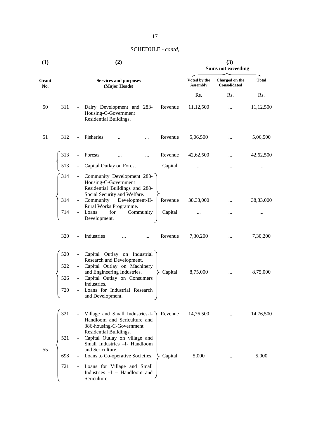| $\bf(1)$     |                          | (2)                                                                                                                                                                                                                                   |                                 | (3)<br><b>Sums not exceeding</b> |              |  |  |
|--------------|--------------------------|---------------------------------------------------------------------------------------------------------------------------------------------------------------------------------------------------------------------------------------|---------------------------------|----------------------------------|--------------|--|--|
| Grant<br>No. |                          | <b>Services and purposes</b><br>(Major Heads)                                                                                                                                                                                         | Voted by the<br><b>Assembly</b> | Charged on the<br>Consolidated   | <b>Total</b> |  |  |
|              |                          |                                                                                                                                                                                                                                       | Rs.                             | Rs.                              | Rs.          |  |  |
| 50           | 311                      | Dairy Development and 283-<br>Revenue<br>Housing-C-Government<br>Residential Buildings.                                                                                                                                               | 11,12,500                       |                                  | 11,12,500    |  |  |
| 51           | 312                      | Fisheries<br>Revenue<br>.                                                                                                                                                                                                             | 5,06,500                        |                                  | 5,06,500     |  |  |
|              | 313                      | Forests<br>Revenue<br>$\cdots$<br>                                                                                                                                                                                                    | 42,62,500                       |                                  | 42,62,500    |  |  |
|              | 513                      | Capital Outlay on Forest<br>Capital                                                                                                                                                                                                   |                                 |                                  | $\cdots$     |  |  |
|              | 314                      | Community Development 283-<br>Housing-C-Government<br>Residential Buildings and 288-<br>Social Security and Welfare.                                                                                                                  |                                 |                                  |              |  |  |
|              | 314                      | Community Development-II-<br>Revenue                                                                                                                                                                                                  | 38,33,000                       |                                  | 38,33,000    |  |  |
|              | 714                      | Rural Works Programme.<br>Loans<br>for<br>Community<br>Capital                                                                                                                                                                        |                                 |                                  | $\cdots$     |  |  |
|              | 320                      | Development.<br>Industries<br>Revenue<br>$\overline{\phantom{a}}$                                                                                                                                                                     | 7,30,200                        | $\cdots$                         | 7,30,200     |  |  |
|              | 520<br>522<br>526<br>720 | Capital Outlay on Industrial<br>Research and Development.<br>Capital Outlay on Machinery<br>and Engineering Industries.<br>Capital<br>Capital Outlay on Consumers<br>Industries.<br>Loans for Industrial Research<br>and Development. | 8,75,000                        | $\cdots$                         | 8,75,000     |  |  |
|              | 321<br>521               | Village and Small Industries-I-<br>Revenue<br>Handloom and Sericulture and<br>386-housing-C-Government<br>Residential Buildings.<br>Capital Outlay on village and                                                                     | 14,76,500                       |                                  | 14,76,500    |  |  |
| 55           | 698                      | Small Industries -I- Handloom<br>and Sericulture.<br>Loans to Co-operative Societies.<br>Capital                                                                                                                                      | 5,000                           |                                  | 5,000        |  |  |
|              | 721                      | Loans for Village and Small<br>$\blacksquare$<br>Industries -I - Handloom and<br>Sericulture.                                                                                                                                         |                                 |                                  |              |  |  |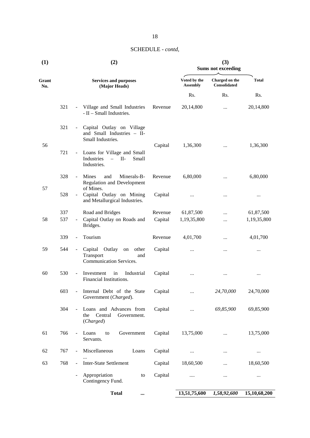| (1)          |     |                              | (2)                                                                          | (3)<br><b>Sums not exceeding</b> |                                       |              |              |
|--------------|-----|------------------------------|------------------------------------------------------------------------------|----------------------------------|---------------------------------------|--------------|--------------|
| Grant<br>No. |     |                              | <b>Services and purposes</b><br>(Major Heads)                                | Voted by the<br><b>Assembly</b>  | Charged on the<br><b>Consolidated</b> | <b>Total</b> |              |
|              |     |                              |                                                                              |                                  | Rs.                                   | Rs.          | Rs.          |
|              | 321 | $\blacksquare$               | Village and Small Industries<br>- II - Small Industries.                     | Revenue                          | 20,14,800                             | $\cdots$     | 20,14,800    |
|              | 321 | $\blacksquare$               | Capital Outlay on Village<br>and Small Industries - II-<br>Small Industries. |                                  |                                       |              |              |
| 56           | 721 | $\blacksquare$               | Loans for Village and Small<br>$-$ II-<br>Industries<br>Small<br>Industries. | Capital                          | 1,36,300                              | $\cdots$     | 1,36,300     |
|              | 328 | $\blacksquare$               | <b>Mines</b><br>Minerals-B-<br>and<br><b>Regulation and Development</b>      | Revenue                          | 6,80,000                              |              | 6,80,000     |
| 57           | 528 | $\blacksquare$               | of Mines.<br>Capital Outlay on Mining<br>and Metallurgical Industries.       | Capital                          | $\cdots$                              | $\cdots$     | $\cdots$     |
|              | 337 |                              | Road and Bridges                                                             | Revenue                          | 61,87,500                             | $\cdots$     | 61,87,500    |
| 58           | 537 | $\qquad \qquad \blacksquare$ | Capital Outlay on Roads and<br>Bridges.                                      | Capital                          | 1,19,35,800                           |              | 1,19,35,800  |
|              | 339 | $\overline{\phantom{a}}$     | Tourism                                                                      | Revenue                          | 4,01,700                              |              | 4,01,700     |
| 59           | 544 | $\blacksquare$               | Capital Outlay<br>on other<br>Transport<br>and<br>Communication Services.    | Capital                          | $\cdots$                              |              | $\cdots$     |
| 60           | 530 | $\blacksquare$               | Investment<br>in<br>Industrial<br>Financial Institutions.                    | Capital                          | $\cdots$                              | $\cdots$     | $\cdots$     |
|              | 603 |                              | Internal Debt of the State<br>Government (Charged).                          | Capital                          |                                       | 24,70,000    | 24,70,000    |
|              | 304 |                              | Loans and Advances from<br>Central<br>the<br>Government.<br>(Charged)        | Capital                          | $\cdots$                              | 69,85,900    | 69,85,900    |
| 61           | 766 | $\Box$                       | Government<br>Loans<br>to<br>Servants.                                       | Capital                          | 13,75,000                             | $\cdots$     | 13,75,000    |
| 62           | 767 | $\blacksquare$               | Miscellaneous<br>Loans                                                       | Capital                          | $\cdots$                              | $\cdots$     | $\ldots$     |
| 63           | 768 | $\overline{\phantom{a}}$     | <b>Inter-State Settlement</b>                                                | Capital                          | 18,60,500                             | $\cdots$     | 18,60,500    |
|              |     | $\overline{\phantom{a}}$     | Appropriation<br>to<br>Contingency Fund.                                     | Capital                          | $\cdots$                              | $\ldots$     | $\ldots$     |
|              |     |                              | <b>Total</b><br>                                                             |                                  | 13,51,75,600                          | 1,58,92,600  | 15,10,68,200 |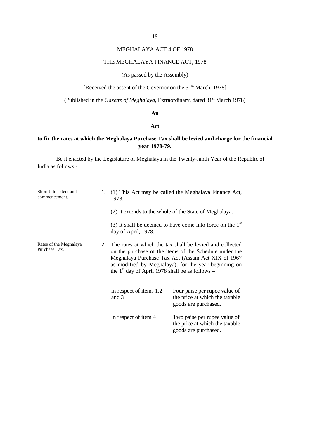# MEGHALAYA ACT 4 OF 1978

#### THE MEGHALAYA FINANCE ACT, 1978

# (As passed by the Assembly)

[Received the assent of the Governor on the 31<sup>st</sup> March, 1978]

(Published in the *Gazette of Meghalaya*, Extraordinary, dated 31<sup>st</sup> March 1978)

#### **An**

#### **Act**

# **to fix the rates at which the Meghalaya Purchase Tax shall be levied and charge for the financial year 1978-79.**

| Short title extent and<br>commencement  | 1. | 1978.                                             | (1) This Act may be called the Meghalaya Finance Act,                                                                                                                                                                           |
|-----------------------------------------|----|---------------------------------------------------|---------------------------------------------------------------------------------------------------------------------------------------------------------------------------------------------------------------------------------|
|                                         |    |                                                   | (2) It extends to the whole of the State of Meghalaya.                                                                                                                                                                          |
|                                         |    | day of April, 1978.                               | (3) It shall be deemed to have come into force on the $1st$                                                                                                                                                                     |
| Rates of the Meghalaya<br>Purchase Tax. | 2. | the $1st$ day of April 1978 shall be as follows – | The rates at which the tax shall be levied and collected<br>on the purchase of the items of the Schedule under the<br>Meghalaya Purchase Tax Act (Assam Act XIX of 1967<br>as modified by Meghalaya), for the year beginning on |
|                                         |    | In respect of items 1,2<br>and 3                  | Four paise per rupee value of<br>the price at which the taxable<br>goods are purchased.                                                                                                                                         |
|                                         |    | In respect of item 4                              | Two paise per rupee value of<br>the price at which the taxable<br>goods are purchased.                                                                                                                                          |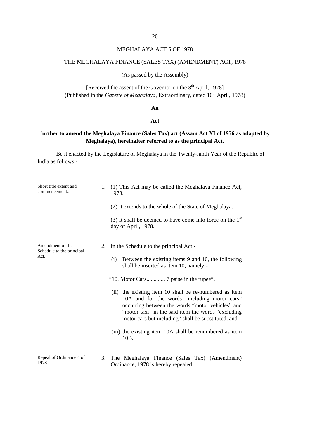20

# MEGHALAYA ACT 5 OF 1978

# THE MEGHALAYA FINANCE (SALES TAX) (AMENDMENT) ACT, 1978

(As passed by the Assembly)

[Received the assent of the Governor on the  $8<sup>th</sup>$  April, 1978] (Published in the *Gazette of Meghalaya*, Extraordinary, dated 10<sup>th</sup> April, 1978)

#### **An**

#### **Act**

# **further to amend the Meghalaya Finance (Sales Tax) act (Assam Act XI of 1956 as adapted by Meghalaya), hereinafter referred to as the principal Act.**

| Short title extent and<br>commencement                | 1. | (1) This Act may be called the Meghalaya Finance Act,<br>1978.<br>(2) It extends to the whole of the State of Meghalaya.<br>(3) It shall be deemed to have come into force on the $1st$<br>day of April, 1978.                                                                                                                                                                                                                                                                                                                         |
|-------------------------------------------------------|----|----------------------------------------------------------------------------------------------------------------------------------------------------------------------------------------------------------------------------------------------------------------------------------------------------------------------------------------------------------------------------------------------------------------------------------------------------------------------------------------------------------------------------------------|
| Amendment of the<br>Schedule to the principal<br>Act. | 2. | In the Schedule to the principal Act:-<br>Between the existing items 9 and 10, the following<br>(i)<br>shall be inserted as item 10, namely:-<br>"10. Motor Cars 7 paise in the rupee".<br>(ii) the existing item 10 shall be re-numbered as item<br>10A and for the words "including motor cars"<br>occurring between the words "motor vehicles" and<br>"motor taxi" in the said item the words "excluding"<br>motor cars but including" shall be substituted, and<br>(iii) the existing item 10A shall be renumbered as item<br>10B. |
| Repeal of Ordinance 4 of<br>1978.                     | 3. | The Meghalaya Finance (Sales Tax) (Amendment)<br>Ordinance, 1978 is hereby repealed.                                                                                                                                                                                                                                                                                                                                                                                                                                                   |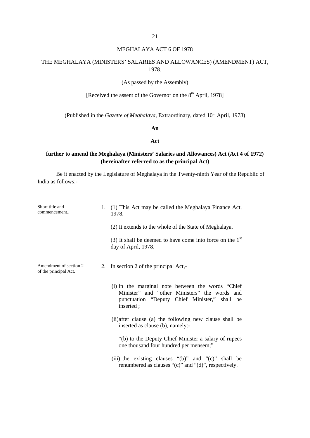# MEGHALAYA ACT 6 OF 1978

# THE MEGHALAYA (MINISTERS' SALARIES AND ALLOWANCES) (AMENDMENT) ACT, 1978.

#### (As passed by the Assembly)

# [Received the assent of the Governor on the  $8<sup>th</sup>$  April, 1978]

(Published in the *Gazette of Meghalaya*, Extraordinary, dated 10<sup>th</sup> April, 1978)

**An**

#### **Act**

# **further to amend the Meghalaya (Ministers' Salaries and Allowances) Act (Act 4 of 1972) (hereinafter referred to as the principal Act)**

| Short title and<br>commencement                 | 1. | (1) This Act may be called the Meghalaya Finance Act,<br>1978.                                                                                                    |
|-------------------------------------------------|----|-------------------------------------------------------------------------------------------------------------------------------------------------------------------|
|                                                 |    | (2) It extends to the whole of the State of Meghalaya.                                                                                                            |
|                                                 |    | (3) It shall be deemed to have come into force on the $1st$<br>day of April, 1978.                                                                                |
| Amendment of section 2<br>of the principal Act. |    | 2. In section 2 of the principal Act,-                                                                                                                            |
|                                                 |    | (i) in the marginal note between the words "Chief"<br>Minister" and "other Ministers" the words and<br>punctuation "Deputy Chief Minister," shall be<br>inserted; |
|                                                 |    | (ii) after clause (a) the following new clause shall be<br>inserted as clause (b), namely:-                                                                       |
|                                                 |    | "(b) to the Deputy Chief Minister a salary of rupees<br>one thousand four hundred per mensem;"                                                                    |
|                                                 |    | (iii) the existing clauses " $(b)$ " and " $(c)$ " shall be<br>renumbered as clauses "(c)" and "(d)", respectively.                                               |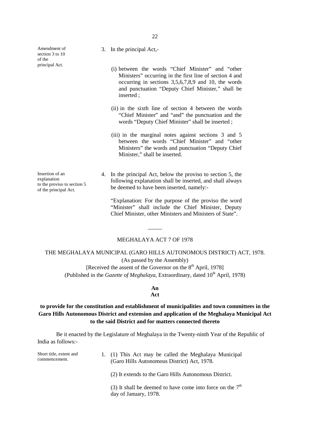Amendment of section 3 to 10 of the principal Act.

Insertion of an explanation to the proviso to section 5 of the principal Act.

3. In the principal Act,-

- (i) between the words "Chief Minister" and "other Ministers" occurring in the first line of section 4 and occurring in sections 3,5,6,7,8,9 and 10, the words and punctuation "Deputy Chief Minister," shall be inserted ;
- (ii) in the sixth line of section 4 between the words "Chief Minister" and "and" the punctuation and the words "Deputy Chief Minister" shall be inserted ;
- (iii) in the marginal notes against sections 3 and 5 between the words "Chief Minister" and "other Ministers" the words and punctuation "Deputy Chief Minister," shall be inserted.
- 4. In the principal Act, below the proviso to section 5, the following explanation shall be inserted, and shall always be deemed to have been inserted, namely:-

"Explanation: For the purpose of the proviso the word "Minister" shall include the Chief Minister, Deputy Chief Minister, other Ministers and Ministers of State".

#### MEGHALAYA ACT 7 OF 1978

 $\frac{1}{\sqrt{2}}$ 

THE MEGHALAYA MUNICIPAL (GARO HILLS AUTONOMOUS DISTRICT) ACT, 1978. (As passed by the Assembly)

[Received the assent of the Governor on the  $8<sup>th</sup>$  April, 1978] (Published in the *Gazette of Meghalaya*, Extraordinary, dated  $10^{th}$  April, 1978)

# **An**

#### **Act**

# **to provide for the constitution and establishment of municipalities and town committees in the Garo Hills Autonomous District and extension and application of the Meghalaya Municipal Act to the said District and for matters connected thereto**

| Short title, extent and<br>commencement. | 1. (1) This Act may be called the Meghalaya Municipal<br>(Garo Hills Autonomous District) Act, 1978. |
|------------------------------------------|------------------------------------------------------------------------------------------------------|
|                                          | (2) It extends to the Garo Hills Autonomous District.                                                |
|                                          | (3) It shall be deemed to have come into force on the $7th$<br>day of January, 1978.                 |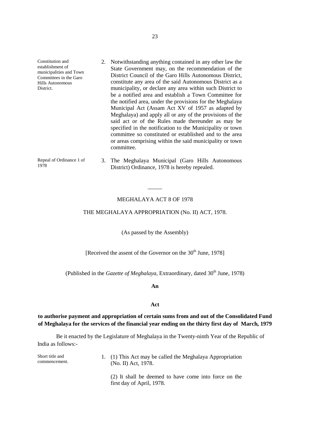Constitution and establishment of municipalities and Town Committees in the Garo Hills Autonomous District. 2. Notwithstanding anything contained in any other law the State Government may, on the recommendation of the District Council of the Garo Hills Autonomous District, constitute any area of the said Autonomous District as a municipality, or declare any area within such District to be a notified area and establish a Town Committee for the notified area, under the provisions for the Meghalaya Municipal Act (Assam Act XV of 1957 as adapted by Meghalaya) and apply all or any of the provisions of the said act or of the Rules made thereunder as may be specified in the notification to the Municipality or town committee so constituted or established and to the area or areas comprising within the said municipality or town committee. Repeal of Ordinance 1 of 1978 3. The Meghalaya Municipal (Garo Hills Autonomous District) Ordinance, 1978 is hereby repealed.

#### MEGHALAYA ACT 8 OF 1978

 $\frac{1}{\sqrt{2}}$ 

#### THE MEGHALAYA APPROPRIATION (No. II) ACT, 1978.

(As passed by the Assembly)

[Received the assent of the Governor on the  $30<sup>th</sup>$  June, 1978]

(Published in the *Gazette of Meghalaya*, Extraordinary, dated 30<sup>th</sup> June, 1978)

**An**

#### **Act**

# **to authorise payment and appropriation of certain sums from and out of the Consolidated Fund of Meghalaya for the services of the financial year ending on the thirty first day of March, 1979**

| Short title and<br>commencement. | 1. (1) This Act may be called the Meghalaya Appropriation<br>(No. II) Act, 1978.   |
|----------------------------------|------------------------------------------------------------------------------------|
|                                  | (2) It shall be deemed to have come into force on the<br>first day of April, 1978. |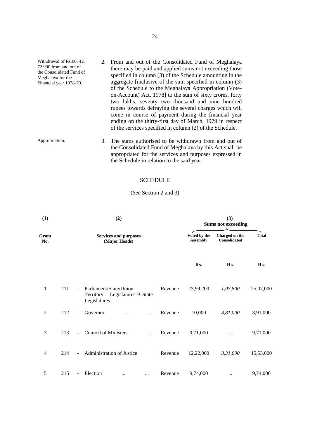| Withdrawal of Rs.60, 42,<br>72,900 from and out of<br>the Consolidated Fund of<br>Meghalaya for the<br>Financial year 1978-79. | 2. From and out of the Consolidated Fund of Meghalaya<br>there may be paid and applied sums not exceeding those<br>specified in column (3) of the Schedule amounting in the<br>aggregate [inclusive of the sum specified in column (3)<br>of the Schedule to the Meghalaya Appropriation (Vote-<br>on-Account) Act, 1978] to the sum of sixty crores, forty<br>two lakhs, seventy two thousand and nine hundred<br>rupees towards defraying the several charges which will<br>come in course of payment during the financial year<br>ending on the thirty-first day of March, 1979 in respect<br>of the services specified in column (2) of the Schedule. |
|--------------------------------------------------------------------------------------------------------------------------------|-----------------------------------------------------------------------------------------------------------------------------------------------------------------------------------------------------------------------------------------------------------------------------------------------------------------------------------------------------------------------------------------------------------------------------------------------------------------------------------------------------------------------------------------------------------------------------------------------------------------------------------------------------------|
| Appropriation.                                                                                                                 | The sums authorised to be withdrawn from and out of                                                                                                                                                                                                                                                                                                                                                                                                                                                                                                                                                                                                       |

Appropriation. 3. The sums authorised to be withdrawn from and out of the Consolidated Fund of Meghalaya by this Act shall be appropriated for the services and purposes expressed in the Schedule in relation to the said year.

# SCHEDULE

# (*See* Section 2 and 3)

| (1)            |     | (2)                                           |                                                                           |           |         | (3)<br><b>Sums not exceeding</b> |                                       |              |  |
|----------------|-----|-----------------------------------------------|---------------------------------------------------------------------------|-----------|---------|----------------------------------|---------------------------------------|--------------|--|
| Grant<br>No.   |     | <b>Services and purposes</b><br>(Major Heads) |                                                                           |           |         | Voted by the<br><b>Assembly</b>  | Charged on the<br><b>Consolidated</b> | <b>Total</b> |  |
|                |     |                                               |                                                                           |           |         | Rs.                              | Rs.                                   | Rs.          |  |
| $\mathbf{1}$   | 211 | $\sim$                                        | Parliament/State/Union<br>Territory Legislatures-B-State<br>Legislatures. |           | Revenue | 23,99,200                        | 1,07,800                              | 25,07,000    |  |
| $\overline{2}$ | 212 | ÷.                                            | Governor                                                                  | $\ddotsc$ | Revenue | 10,000                           | 8,81,000                              | 8,91,000     |  |
| 3              | 213 |                                               | <b>Council of Ministers</b>                                               |           | Revenue | 9,71,000                         | $\cdots$                              | 9,71,000     |  |
| $\overline{4}$ | 214 | $\sim$                                        | Administration of Justice                                                 |           | Revenue | 12,22,000                        | 3,31,000                              | 15,53,000    |  |
| 5              | 215 | $\blacksquare$                                | Election<br>$\cdots$                                                      | $\cdots$  | Revenue | 9,74,000                         | $\cdots$                              | 9,74,000     |  |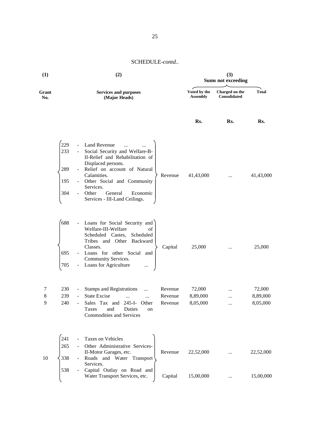| (1)          |                                                                                         | (2)                                                                                                                                                                                                                                                                           |                                 | (3)<br><b>Sums not exceeding</b> |                                |  |
|--------------|-----------------------------------------------------------------------------------------|-------------------------------------------------------------------------------------------------------------------------------------------------------------------------------------------------------------------------------------------------------------------------------|---------------------------------|----------------------------------|--------------------------------|--|
| Grant<br>No. |                                                                                         | <b>Services and purposes</b><br>(Major Heads)                                                                                                                                                                                                                                 | Voted by the<br><b>Assembly</b> | Charged on the<br>Consolidated   | <b>Total</b>                   |  |
|              |                                                                                         |                                                                                                                                                                                                                                                                               | Rs.                             | Rs.                              | Rs.                            |  |
|              | 229<br>$\overline{\phantom{a}}$<br>233<br>$\overline{\phantom{a}}$<br>289<br>195<br>304 | Land Revenue<br>Social Security and Welfare-B-<br>II-Relief and Rehabilitation of<br>Displaced persons.<br>Relief on account of Natural<br>Calamities.<br>Revenue<br>Other Social and Community<br>Services.<br>Other<br>General<br>Economic<br>Services - III-Land Ceilings. | 41,43,000                       | $\cdots$                         | 41,43,000                      |  |
|              | 688<br>695<br>705                                                                       | Loans for Social Security and<br>Welfare-III-Welfare<br>οf<br>Scheduled Castes,<br>Scheduled<br>Tribes and Other Backward<br>Classes.<br>Capital<br>Loans for other Social and<br>Community Services.<br>Loans for Agriculture                                                | 25,000                          |                                  | 25,000                         |  |
| 7<br>8<br>9  | 230<br>$\blacksquare$<br>239<br>$\blacksquare$<br>240                                   | <b>Stamps and Registrations</b><br>Revenue<br>$\ddotsc$<br><b>State Excise</b><br>Revenue<br>$\cdots$<br>$\cdots$<br>Sales Tax and 245-I- Other<br>Revenue<br>and<br>Taxes<br>Duties<br>on<br>Commodities and Services                                                        | 72,000<br>8,89,000<br>8,05,000  | $\cdots$<br><br>$\ldots$         | 72,000<br>8,89,000<br>8,05,000 |  |
| 10           | 241<br>265<br>338<br>538<br>$\overline{\phantom{a}}$                                    | Taxes on Vehicles<br>Other Administrative Services-<br>Revenue<br>II-Motor Garages, etc.<br>Roads and Water Transport<br>Services.<br>Capital Outlay on Road and<br>Water Transport Services, etc.<br>Capital                                                                 | 22,52,000<br>15,00,000          |                                  | 22,52,000<br>15,00,000         |  |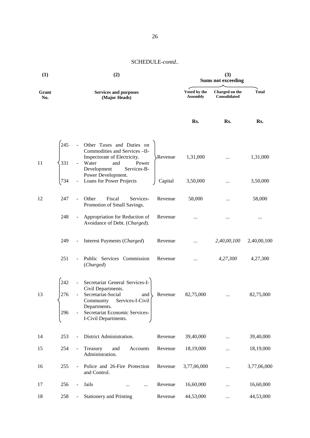| (1)          |                   | (2)                      |                                                                                                                                                                                                      |         | <b>Sums not exceeding</b>       |                                |              |
|--------------|-------------------|--------------------------|------------------------------------------------------------------------------------------------------------------------------------------------------------------------------------------------------|---------|---------------------------------|--------------------------------|--------------|
| Grant<br>No. |                   |                          | <b>Services and purposes</b><br>(Major Heads)                                                                                                                                                        |         | Voted by the<br><b>Assembly</b> | Charged on the<br>Consolidated | <b>Total</b> |
|              |                   |                          |                                                                                                                                                                                                      |         | Rs.                             | Rs.                            | Rs.          |
| 11           | 245<br>331        |                          | Other Taxes and Duties on<br>Commodities and Services -II-<br>Inspectorate of Electricity.<br>Water<br>Power<br>and<br>Development<br>Services-B-                                                    | Revenue | 1,31,000                        |                                | 1,31,000     |
|              | 734               |                          | Power Development.<br>Loans for Power Projects                                                                                                                                                       | Capital | 3,50,000                        |                                | 3,50,000     |
| 12           | 247               |                          | Other<br>Fiscal<br>Services-<br>Promotion of Small Savings.                                                                                                                                          | Revenue | 58,000                          | $\cdots$                       | 58,000       |
|              | 248               | $\blacksquare$           | Appropriation for Reduction of<br>Avoidance of Debt. (Charged).                                                                                                                                      | Revenue |                                 |                                |              |
|              | 249               | $\overline{\phantom{a}}$ | Interest Payments (Charged)                                                                                                                                                                          | Revenue |                                 | 2,40,00,100                    | 2,40,00,100  |
|              | 251               |                          | Public Services Commission<br>(Charged)                                                                                                                                                              | Revenue | $\cdots$                        | 4,27,300                       | 4,27,300     |
| 13           | 242<br>276<br>296 |                          | Secretariat General Services-I-<br>Civil Departments.<br>Secretariat-Social<br>and $\langle$<br>Community Services-I-Civil<br>Departments.<br>Secretariat Economic Services-<br>I-Civil Departments. | Revenue | 82,75,000                       |                                | 82,75,000    |
| 14           | 253               |                          | District Administration.                                                                                                                                                                             | Revenue | 39,40,000                       |                                | 39,40,000    |
| 15           | 254               | $\blacksquare$           | Treasury<br>and<br>Accounts<br>Administration.                                                                                                                                                       | Revenue | 18,19,000                       | $\cdots$                       | 18,19,000    |
| 16           | 255               |                          | Police and 26-Fire Protection<br>and Control.                                                                                                                                                        | Revenue | 3,77,06,000                     |                                | 3,77,06,000  |
| 17           | 256               |                          | Jails<br>$\cdots$                                                                                                                                                                                    | Revenue | 16,60,000                       | $\cdots$                       | 16,60,000    |
| 18           | 258               |                          | <b>Stationery and Printing</b>                                                                                                                                                                       | Revenue | 44,53,000                       | $\cdots$                       | 44,53,000    |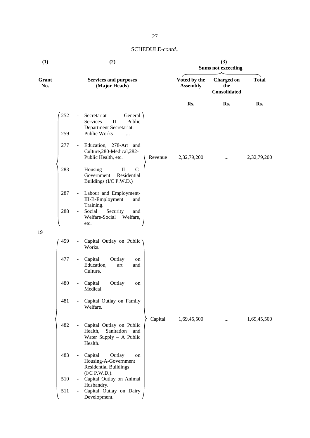| (1)          |     |                     | (2)                                                                                            |         |                                 | (3)<br><b>Sums not exceeding</b>         |              |
|--------------|-----|---------------------|------------------------------------------------------------------------------------------------|---------|---------------------------------|------------------------------------------|--------------|
| Grant<br>No. |     |                     | <b>Services and purposes</b><br>(Major Heads)                                                  |         | Voted by the<br><b>Assembly</b> | <b>Charged</b> on<br>the<br>Consolidated | <b>Total</b> |
|              |     |                     |                                                                                                |         | Rs.                             | Rs.                                      | Rs.          |
|              | 252 | $\sim$              | Secretariat<br>General<br>Services - II - Public<br>Department Secretariat.                    |         |                                 |                                          |              |
|              | 259 |                     | <b>Public Works</b><br>$\ddotsc$                                                               |         |                                 |                                          |              |
|              | 277 | $\sim$              | Education, 278-Art and<br>Culture, 280-Medical, 282-<br>Public Health, etc.                    | Revenue | 2,32,79,200                     | $\cdots$                                 | 2,32,79,200  |
|              | 283 | $\blacksquare$      | Housing<br>$II-$<br>$C-$<br>$\qquad$<br>Residential<br>Government<br>Buildings (I/C P.W.D.)    |         |                                 |                                          |              |
|              | 287 | $\blacksquare$      | Labour and Employment-<br>III-B-Employment<br>and                                              |         |                                 |                                          |              |
|              | 288 | $\sim$              | Training.<br>Social<br>Security<br>and<br>Welfare-Social<br>Welfare,<br>etc.                   |         |                                 |                                          |              |
| 19           |     |                     |                                                                                                |         |                                 |                                          |              |
|              | 459 |                     | Capital Outlay on Public<br>Works.                                                             |         |                                 |                                          |              |
|              | 477 | $\blacksquare$      | Capital<br>Outlay<br>on<br>Education,<br>art<br>and<br>Culture.                                |         |                                 |                                          |              |
|              | 480 | $\blacksquare$      | Capital<br>Outlay<br>on<br>Medical.                                                            |         |                                 |                                          |              |
|              | 481 | $\equiv$            | Capital Outlay on Family<br>Welfare.                                                           |         |                                 |                                          |              |
|              | 482 | $\sim$              | Capital Outlay on Public<br>Health,<br>Sanitation<br>and<br>Water Supply - A Public<br>Health. | Capital | 1,69,45,500                     | $\cdots$                                 | 1,69,45,500  |
|              | 483 | $\equiv$            | Capital<br>Outlay<br>on<br>Housing-A-Government<br><b>Residential Buildings</b>                |         |                                 |                                          |              |
|              | 510 | $\omega_{\rm{max}}$ | (I/C P.W.D.).<br>Capital Outlay on Animal                                                      |         |                                 |                                          |              |
|              | 511 | $\blacksquare$      | Husbandry.<br>Capital Outlay on Dairy<br>Development.                                          |         |                                 |                                          |              |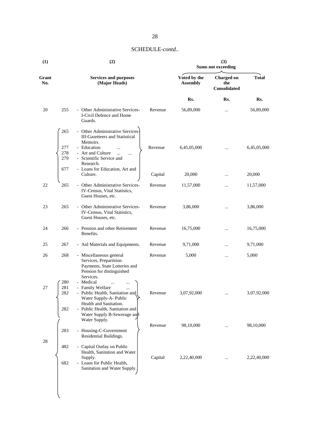| (1)          |                   | (2)                                                                                                                             |         |                                 | (3)<br><b>Sums not exceeding</b>         |              |
|--------------|-------------------|---------------------------------------------------------------------------------------------------------------------------------|---------|---------------------------------|------------------------------------------|--------------|
| Grant<br>No. |                   | <b>Services and purposes</b><br>(Major Heads)                                                                                   |         | Voted by the<br><b>Assembly</b> | <b>Charged on</b><br>the<br>Consolidated | <b>Total</b> |
|              |                   |                                                                                                                                 |         | Rs.                             | Rs.                                      | Rs.          |
| 20           | 255               | - Other Administrative Services-<br>I-Civil Defence and Home<br>Guards.                                                         | Revenue | 56,89,000                       |                                          | 56,89,000    |
|              | 265               | - Other Administrative Services-<br><b>III-Gazetteers and Statistical</b><br>Memoirs.                                           |         |                                 |                                          |              |
|              | 277<br>278<br>279 | - Education<br><br>- Art and Culture<br>$\ddotsc$<br><br>- Scientific Service and<br>Research.                                  | Revenue | 6,45,05,000                     |                                          | 6,45,05,000  |
|              | 677               | - Loans for Education, Art and<br>Culture.                                                                                      | Capital | 20,000                          |                                          | 20,000       |
| 22           | 265               | - Other Administrative Services-<br>IV-Census, Vital Statistics,<br>Guest Houses, etc.                                          | Revenue | 11,57,000                       |                                          | 11,57,000    |
| 23           | 265               | - Other Administrative Services-<br>IV-Census, Vital Statistics,<br>Guest Houses, etc.                                          | Revenue | 3,86,000                        | .                                        | 3,86,000     |
| 24           | 266               | - Pension and other Retirement<br>Benefits.                                                                                     | Revenue | 16,75,000                       |                                          | 16,75,000    |
| 25           | 267               | - Aid Materials and Equipments.                                                                                                 | Revenue | 9,71,000                        |                                          | 9,71,000     |
| 26           | 268               | - Miscellaneous general<br>Services, Prepartition<br>Payments, State Lotteries and<br>Pension for distinguished<br>Services.    | Revenue | 5,000                           |                                          | 5,000        |
| 27           | 280<br>281<br>282 | - Medical<br>$\ddotsc$<br>- Family Welfare<br>Public Health, Sanitation and<br>Water Supply-A- Public<br>Health and Sanitation. | Revenue | 3,07,92,000                     | $\cdots$                                 | 3,07,92,000  |
|              | 282               | - Public Health, Sanitation and<br>Water Supply B-Sewerage and<br>Water Supply.                                                 | Revenue | 98,10,000                       |                                          | 98,10,000    |
| $28\,$       | 283               | - Housing-C-Government<br>Residential Buildings.                                                                                |         |                                 |                                          |              |
|              | 482               | - Capital Outlay on Public<br>Health, Sanitation and Water<br>Supply.                                                           | Capital | 2,22,40,000                     |                                          | 2,22,40,000  |
|              | 682               | - Loans for Public Health,<br>Sanitation and Water Supply.                                                                      |         |                                 |                                          |              |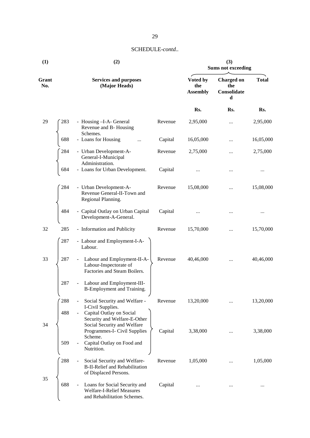| (1)          |            | (2)                                                                                                              | (3)<br><b>Sums not exceeding</b> |                                    |                                              |              |
|--------------|------------|------------------------------------------------------------------------------------------------------------------|----------------------------------|------------------------------------|----------------------------------------------|--------------|
| Grant<br>No. |            | <b>Services and purposes</b><br>(Major Heads)                                                                    |                                  | Voted by<br>the<br><b>Assembly</b> | <b>Charged on</b><br>the<br>Consolidate<br>d | <b>Total</b> |
|              |            |                                                                                                                  |                                  | Rs.                                | Rs.                                          | Rs.          |
| 29           | 283        | - Housing -I-A- General<br>Revenue and B-Housing<br>Schemes.                                                     | Revenue                          | 2,95,000                           | $\cdots$                                     | 2,95,000     |
|              | 688        | - Loans for Housing                                                                                              | Capital                          | 16,05,000                          |                                              | 16,05,000    |
|              | 284        | - Urban Development-A-<br>General-I-Municipal<br>Administration.                                                 | Revenue                          | 2,75,000                           | $\cdots$                                     | 2,75,000     |
|              | 684        | - Loans for Urban Development.                                                                                   | Capital                          |                                    |                                              | $\cdots$     |
|              | 284        | - Urban Development-A-<br>Revenue General-II-Town and<br>Regional Planning.                                      | Revenue                          | 15,08,000                          |                                              | 15,08,000    |
|              | 484        | - Capital Outlay on Urban Capital<br>Development-A-General.                                                      | Capital                          |                                    |                                              |              |
| 32           | 285        | - Information and Publicity                                                                                      | Revenue                          | 15,70,000                          | $\cdots$                                     | 15,70,000    |
|              | 287        | - Labour and Employment-I-A-<br>Labour.                                                                          |                                  |                                    |                                              |              |
| 33           | 287        | Labour and Employment-II-A-<br>$\blacksquare$<br>Labour-Inspectorate of<br>Factories and Steam Boilers.          | Revenue                          | 40,46,000                          |                                              | 40,46,000    |
|              | 287        | Labour and Employment-III-<br>$\blacksquare$<br>B-Employment and Training.                                       |                                  |                                    |                                              |              |
|              | 288<br>488 | Social Security and Welfare -<br>I-Civil Supplies.<br>Capital Outlay on Social<br>$\blacksquare$                 | Revenue                          | 13,20,000                          |                                              | 13,20,000    |
| 34           |            | Security and Welfare-E-Other<br>Social Security and Welfare<br>Programmes-I- Civil Supplies<br>Scheme.           | Capital                          | 3,38,000                           | $\cdots$                                     | 3,38,000     |
|              | 509        | Capital Outlay on Food and<br>Nutrition.                                                                         |                                  |                                    |                                              |              |
| 35           | 288        | Social Security and Welfare-<br>$\blacksquare$<br><b>B-II-Relief and Rehabilitation</b><br>of Displaced Persons. | Revenue                          | 1,05,000                           |                                              | 1,05,000     |
|              | 688        | Loans for Social Security and<br><b>Welfare-I-Relief Measures</b><br>and Rehabilitation Schemes.                 | Capital                          |                                    |                                              |              |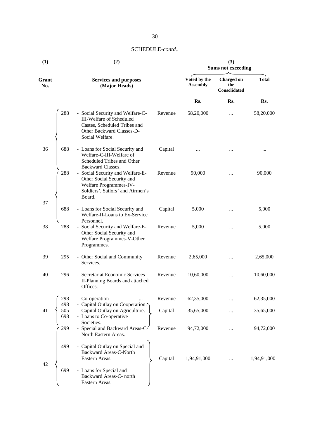| (1)          |                   | (2)                                                                                                                                                 | (3)<br><b>Sums not exceeding</b> |                                 |                                          |              |
|--------------|-------------------|-----------------------------------------------------------------------------------------------------------------------------------------------------|----------------------------------|---------------------------------|------------------------------------------|--------------|
| Grant<br>No. |                   | <b>Services and purposes</b><br>(Major Heads)                                                                                                       |                                  | Voted by the<br><b>Assembly</b> | <b>Charged on</b><br>the<br>Consolidated | <b>Total</b> |
|              |                   |                                                                                                                                                     |                                  | Rs.                             | Rs.                                      | Rs.          |
|              | 288               | - Social Security and Welfare-C-<br><b>III-Welfare of Scheduled</b><br>Castes, Scheduled Tribes and<br>Other Backward Classes-D-<br>Social Welfare. | Revenue                          | 58,20,000                       |                                          | 58,20,000    |
| 36           | 688               | - Loans for Social Security and<br>Welfare-C-III-Welfare of<br>Scheduled Tribes and Other<br>Backward Classes.                                      | Capital                          | $\ddotsc$                       |                                          |              |
|              | 288               | - Social Security and Welfare-E-<br>Other Social Security and<br>Welfare Programmes-IV-<br>Soldiers', Sailors' and Airmen's<br>Board.               | Revenue                          | 90,000                          |                                          | 90,000       |
| 37           | 688               | - Loans for Social Security and<br>Welfare-II-Loans to Ex-Service                                                                                   | Capital                          | 5,000                           |                                          | 5,000        |
| 38           | 288               | Personnel.<br>- Social Security and Welfare-E-<br>Other Social Security and<br>Welfare Programmes-V-Other<br>Programmes.                            | Revenue                          | 5,000                           |                                          | 5,000        |
| 39           | 295               | - Other Social and Community<br>Services.                                                                                                           | Revenue                          | 2,65,000                        |                                          | 2,65,000     |
| 40           | 296               | - Secretariat Economic Services-<br>II-Planning Boards and attached<br>Offices.                                                                     | Revenue                          | 10,60,000                       |                                          | 10,60,000    |
|              | 298               | - Co-operation                                                                                                                                      | Revenue                          | 62,35,000                       |                                          | 62,35,000    |
| 41           | 498<br>505<br>698 | - Capital Outlay on Cooperation.<br>- Capital Outlay on Agriculture.<br>- Loans to Co-operative<br>Societies.                                       | Capital                          | 35,65,000                       |                                          | 35,65,000    |
|              | 299               | - Special and Backward Areas-C-<br>North Eastern Areas.                                                                                             | Revenue                          | 94,72,000                       |                                          | 94,72,000    |
| 42           | 499               | - Capital Outlay on Special and<br>Backward Areas-C-North<br>Eastern Areas.                                                                         | Capital                          | 1,94,91,000                     |                                          | 1,94,91,000  |
|              | 699               | - Loans for Special and<br>Backward Areas-C- north<br>Eastern Areas.                                                                                |                                  |                                 |                                          |              |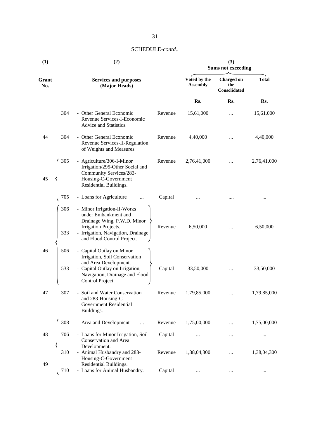| (1)          |            | (2)                                                                                                                                                                            | (3)<br><b>Sums not exceeding</b> |                                 |                                          |              |
|--------------|------------|--------------------------------------------------------------------------------------------------------------------------------------------------------------------------------|----------------------------------|---------------------------------|------------------------------------------|--------------|
| Grant<br>No. |            | <b>Services and purposes</b><br>(Major Heads)                                                                                                                                  |                                  | Voted by the<br><b>Assembly</b> | <b>Charged on</b><br>the<br>Consolidated | <b>Total</b> |
|              |            |                                                                                                                                                                                |                                  | Rs.                             | Rs.                                      | Rs.          |
|              | 304        | - Other General Economic<br>Revenue Services-I-Economic<br>Advice and Statistics.                                                                                              | Revenue                          | 15,61,000                       |                                          | 15,61,000    |
| 44           | 304        | - Other General Economic<br>Revenue Services-II-Regulation<br>of Weights and Measures.                                                                                         | Revenue                          | 4,40,000                        |                                          | 4,40,000     |
| 45           | 305        | - Agriculture/306-I-Minor<br>Irrigation/295-Other Social and<br>Community Services/283-<br>Housing-C-Government<br>Residential Buildings.                                      | Revenue                          | 2,76,41,000                     |                                          | 2,76,41,000  |
|              | 705        | - Loans for Agriculture                                                                                                                                                        | Capital                          |                                 |                                          |              |
|              | 306<br>333 | - Minor Irrigation-II-Works<br>under Embankment and<br>Drainage Wing, P.W.D. Minor<br>Irrigation Projects.<br>- Irrigation, Navigation, Drainage<br>and Flood Control Project. | Revenue                          | 6,50,000                        |                                          | 6,50,000     |
| 46           | 506<br>533 | - Capital Outlay on Minor<br>Irrigation, Soil Conservation<br>and Area Development.<br>- Capital Outlay on Irrigation,<br>Navigation, Drainage and Flood<br>Control Project.   | Capital                          | 33,50,000                       |                                          | 33,50,000    |
| 47           | 307        | - Soil and Water Conservation<br>and 283-Housing-C-<br><b>Government Residential</b><br>Buildings.                                                                             | Revenue                          | 1,79,85,000                     |                                          | 1,79,85,000  |
|              | 308        | - Area and Development<br>                                                                                                                                                     | Revenue                          | 1,75,00,000                     |                                          | 1,75,00,000  |
| 48           | 706        | - Loans for Minor Irrigation, Soil<br>Conservation and Area<br>Development.                                                                                                    | Capital                          |                                 |                                          |              |
| 49           | 310        | - Animal Husbandry and 283-<br>Housing-C-Government<br>Residential Buildings.                                                                                                  | Revenue                          | 1,38,04,300                     |                                          | 1,38,04,300  |
|              | 710        | - Loans for Animal Husbandry.                                                                                                                                                  | Capital                          | $\cdots$                        | $\cdots$                                 |              |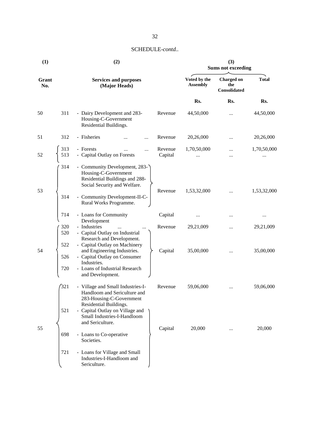| (1)          |            | (2)                                                                                                                     | (3)<br><b>Sums not exceeding</b> |                                 |                                          |              |
|--------------|------------|-------------------------------------------------------------------------------------------------------------------------|----------------------------------|---------------------------------|------------------------------------------|--------------|
| Grant<br>No. |            | <b>Services and purposes</b><br>(Major Heads)                                                                           |                                  | Voted by the<br><b>Assembly</b> | <b>Charged on</b><br>the<br>Consolidated | <b>Total</b> |
|              |            |                                                                                                                         |                                  | Rs.                             | Rs.                                      | Rs.          |
| 50           | 311        | - Dairy Development and 283-<br>Housing-C-Government<br>Residential Buildings.                                          | Revenue                          | 44,50,000                       |                                          | 44,50,000    |
| 51           | 312        | - Fisheries<br>                                                                                                         | Revenue                          | 20,26,000                       |                                          | 20,26,000    |
| 52           | 313<br>513 | - Forests<br>- Capital Outlay on Forests                                                                                | Revenue<br>Capital               | 1,70,50,000                     | <br>                                     | 1,70,50,000  |
| 53           | 314        | - Community Development, 283-<br>Housing-C-Government<br>Residential Buildings and 288-<br>Social Security and Welfare. | Revenue                          | 1,53,32,000                     | $\cdots$                                 | 1,53,32,000  |
|              | 314        | - Community Development-II-C-<br>Rural Works Programme.                                                                 |                                  |                                 |                                          |              |
|              | 714        | - Loans for Community<br>Development                                                                                    | Capital                          |                                 |                                          |              |
|              | 320<br>520 | - Industries<br>$\sim$<br>- Capital Outlay on Industrial<br>Research and Development.                                   | Revenue                          | 29,21,009                       |                                          | 29,21,009    |
| 54           | 522<br>526 | - Capital Outlay on Machinery<br>and Engineering Industries.<br>- Capital Outlay on Consumer                            | Capital                          | 35,00,000                       |                                          | 35,00,000    |
|              | 720        | Industries.<br>- Loans of Industrial Research<br>and Development.                                                       |                                  |                                 |                                          |              |
|              | 321        | - Village and Small Industries-I-<br>Handloom and Sericulture and<br>283-Housing-C-Government                           | Revenue                          | 59,06,000                       |                                          | 59,06,000    |
|              | 521        | Residential Buildings.<br>- Capital Outlay on Village and<br>Small Industries-I-Handloom                                |                                  |                                 |                                          |              |
| 55           | 698        | and Sericulture.<br>- Loans to Co-operative<br>Societies.                                                               | Capital                          | 20,000                          | $\cdots$                                 | 20,000       |
|              | 721        | - Loans for Village and Small<br>Industries-I-Handloom and<br>Sericulture.                                              |                                  |                                 |                                          |              |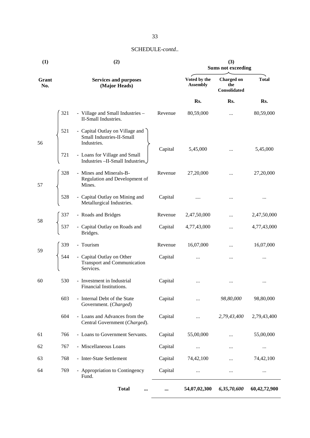| (1)          |     | (2)                                                                          |         |                                 | (3)<br><b>Sums not exceeding</b>         |              |
|--------------|-----|------------------------------------------------------------------------------|---------|---------------------------------|------------------------------------------|--------------|
| Grant<br>No. |     | <b>Services and purposes</b><br>(Major Heads)                                |         | Voted by the<br><b>Assembly</b> | <b>Charged on</b><br>the<br>Consolidated | <b>Total</b> |
|              |     |                                                                              |         | Rs.                             | Rs.                                      | Rs.          |
|              | 321 | - Village and Small Industries -<br>II-Small Industries.                     | Revenue | 80,59,000                       |                                          | 80,59,000    |
| 56           | 521 | - Capital Outlay on Village and<br>Small Industries-II-Small<br>Industries.  | Capital | 5,45,000                        | $\cdots$                                 | 5,45,000     |
|              | 721 | - Loans for Village and Small<br>Industries - II-Small Industries.           |         |                                 |                                          |              |
| 57           | 328 | - Mines and Minerals-B-<br>Regulation and Development of<br>Mines.           | Revenue | 27,20,000                       |                                          | 27,20,000    |
|              | 528 | - Capital Outlay on Mining and<br>Metallurgical Industries.                  | Capital |                                 |                                          |              |
| 58           | 337 | - Roads and Bridges                                                          | Revenue | 2,47,50,000                     | $\cdots$                                 | 2,47,50,000  |
|              | 537 | - Capital Outlay on Roads and<br>Bridges.                                    | Capital | 4,77,43,000                     |                                          | 4,77,43,000  |
| 59           | 339 | - Tourism                                                                    | Revenue | 16,07,000                       |                                          | 16,07,000    |
|              | 544 | - Capital Outlay on Other<br><b>Transport and Communication</b><br>Services. | Capital | $\ddotsc$                       |                                          |              |
| 60           | 530 | - Investment in Industrial<br>Financial Institutions.                        | Capital |                                 |                                          |              |
|              | 603 | - Internal Debt of the State<br>Government. (Charged)                        | Capital |                                 | 98,80,000                                | 98,80,000    |
|              | 604 | - Loans and Advances from the<br>Central Government (Charged).               | Capital |                                 | 2,79,43,400                              | 2,79,43,400  |
| 61           | 766 | - Loans to Government Servants.                                              | Capital | 55,00,000                       |                                          | 55,00,000    |
| 62           | 767 | - Miscellaneous Loans                                                        | Capital | $\cdots$                        |                                          |              |
| 63           | 768 | - Inter-State Settlement                                                     | Capital | 74,42,100                       |                                          | 74,42,100    |
| 64           | 769 | - Appropriation to Contingency<br>Fund.                                      | Capital |                                 |                                          |              |
|              |     | <b>Total</b><br>$\cdots$                                                     |         | 54,07,02,300                    | 6,35,70,600                              | 60,42,72,900 |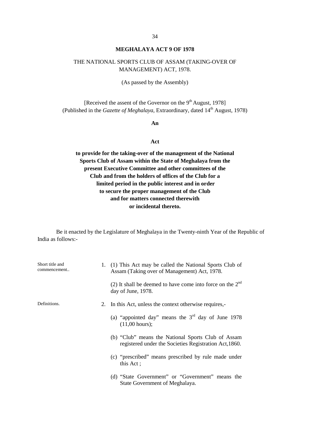# **MEGHALAYA ACT 9 OF 1978**

# THE NATIONAL SPORTS CLUB OF ASSAM (TAKING-OVER OF MANAGEMENT) ACT, 1978.

(As passed by the Assembly)

[Received the assent of the Governor on the 9<sup>th</sup> August, 1978] (Published in the *Gazette of Meghalaya*, Extraordinary, dated 14<sup>th</sup> August, 1978)

#### **An**

#### **Act**

**to provide for the taking-over of the management of the National Sports Club of Assam within the State of Meghalaya from the present Executive Committee and other committees of the Club and from the holders of offices of the Club for a limited period in the public interest and in order to secure the proper management of the Club and for matters connected therewith or incidental thereto.**

| Short title and<br>commencement |    | 1. (1) This Act may be called the National Sports Club of<br>Assam (Taking over of Management) Act, 1978.    |
|---------------------------------|----|--------------------------------------------------------------------------------------------------------------|
|                                 |    | (2) It shall be deemed to have come into force on the $2^{nd}$<br>day of June, 1978.                         |
| Definitions.                    | 2. | In this Act, unless the context otherwise requires,-                                                         |
|                                 |    | (a) "appointed day" means the $3rd$ day of June 1978<br>$(11,00 \text{ hours})$ ;                            |
|                                 |    | (b) "Club" means the National Sports Club of Assam<br>registered under the Societies Registration Act, 1860. |
|                                 |    | (c) "prescribed" means prescribed by rule made under<br>this Act;                                            |
|                                 |    | (d) "State Government" or "Government" means the<br>State Government of Meghalaya.                           |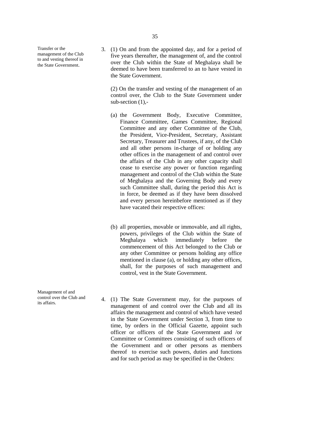Transfer or the management of the Club to and vesting thereof in the State Government.

Management of and control over the Club and 3. (1) On and from the appointed day, and for a period of five years thereafter, the management of, and the control over the Club within the State of Meghalaya shall be deemed to have been transferred to an to have vested in the State Government.

(2) On the transfer and vesting of the management of an control over, the Club to the State Government under sub-section  $(1)$ ,-

- (a) the Government Body, Executive Committee, Finance Committee, Games Committee, Regional Committee and any other Committee of the Club, the President, Vice-President, Secretary, Assistant Secretary, Treasurer and Trustees, if any, of the Club and all other persons in-charge of or holding any other offices in the management of and control over the affairs of the Club in any other capacity shall cease to exercise any power or function regarding management and control of the Club within the State of Meghalaya and the Governing Body and every such Committee shall, during the period this Act is in force, be deemed as if they have been dissolved and every person hereinbefore mentioned as if they have vacated their respective offices:
- (b) all properties, movable or immovable, and all rights, powers, privileges of the Club within the State of Meghalaya which immediately before the commencement of this Act belonged to the Club or any other Committee or persons holding any office mentioned in clause (a), or holding any other offices, shall, for the purposes of such management and control, vest in the State Government.
- control over the Club and  $\frac{4}{1}$ . (1) The State Government may, for the purposes of management of and control over the Club and all its affairs the management and control of which have vested in the State Government under Section 3, from time to time, by orders in the Official Gazette, appoint such officer or officers of the State Government and /or Committee or Committees consisting of such officers of the Government and or other persons as members thereof to exercise such powers, duties and functions and for such period as may be specified in the Orders: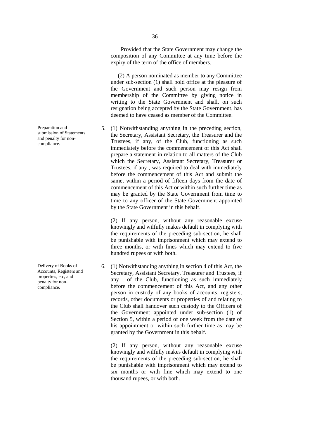Preparation and submission of Statements and penalty for non-

compliance.

Delivery of Books of Accounts, Registers and properties, etc, and penalty for non compliance.

(2) A person nominated as member to any Committee under sub-section (1) shall bold office at the pleasure of the Government and such person may resign from membership of the Committee by giving notice in writing to the State Government and shall, on such resignation being accepted by the State Government, has deemed to have ceased as member of the Committee.

5. (1) Notwithstanding anything in the preceding section, the Secretary, Assistant Secretary, the Treasurer and the Trustees, if any, of the Club, functioning as such immediately before the commencement of this Act shall prepare a statement in relation to all matters of the Club which the Secretary, Assistant Secretary, Treasurer or Trustees, if any , was required to deal with immediately before the commencement of this Act and submit the same, within a period of fifteen days from the date of commencement of this Act or within such further time as may be granted by the State Government from time to time to any officer of the State Government appointed by the State Government in this behalf.

(2) If any person, without any reasonable excuse knowingly and wilfully makes default in complying with the requirements of the preceding sub-section, he shall be punishable with imprisonment which may extend to three months, or with fines which may extend to five hundred rupees or with both.

6. (1) Notwithstanding anything in section 4 of this Act, the Secretary, Assistant Secretary, Treasurer and Trustees, if any , of the Club, functioning as such immediately before the commencement of this Act, and any other person in custody of any books of accounts, registers, records, other documents or properties of and relating to the Club shall handover such custody to the Officers of the Government appointed under sub-section (1) of Section 5, within a period of one week from the date of his appointment or within such further time as may be granted by the Government in this behalf.

(2) If any person, without any reasonable excuse knowingly and wilfully makes default in complying with the requirements of the preceding sub-section, he shall be punishable with imprisonment which may extend to six months or with fine which may extend to one thousand rupees, or with both.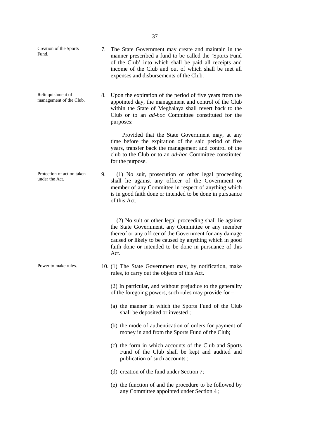| Creation of the Sports<br>Fund.              | 7. | The State Government may create and maintain in the<br>manner prescribed a fund to be called the 'Sports Fund<br>of the Club' into which shall be paid all receipts and<br>income of the Club and out of which shall be met all<br>expenses and disbursements of the Club.                           |
|----------------------------------------------|----|------------------------------------------------------------------------------------------------------------------------------------------------------------------------------------------------------------------------------------------------------------------------------------------------------|
| Relinquishment of<br>management of the Club. | 8. | Upon the expiration of the period of five years from the<br>appointed day, the management and control of the Club<br>within the State of Meghalaya shall revert back to the<br>Club or to an <i>ad-hoc</i> Committee constituted for the<br>purposes:                                                |
|                                              |    | Provided that the State Government may, at any<br>time before the expiration of the said period of five<br>years, transfer back the management and control of the<br>club to the Club or to an <i>ad-hoc</i> Committee constituted<br>for the purpose.                                               |
| Protection of action taken<br>under the Act. | 9. | (1) No suit, prosecution or other legal proceeding<br>shall lie against any officer of the Government or<br>member of any Committee in respect of anything which<br>is in good faith done or intended to be done in pursuance<br>of this Act.                                                        |
|                                              |    | (2) No suit or other legal proceeding shall lie against<br>the State Government, any Committee or any member<br>thereof or any officer of the Government for any damage<br>caused or likely to be caused by anything which in good<br>faith done or intended to be done in pursuance of this<br>Act. |
| Power to make rules.                         |    | 10. (1) The State Government may, by notification, make<br>rules, to carry out the objects of this Act.                                                                                                                                                                                              |
|                                              |    | (2) In particular, and without prejudice to the generality<br>of the foregoing powers, such rules may provide for -                                                                                                                                                                                  |
|                                              |    | (a) the manner in which the Sports Fund of the Club<br>shall be deposited or invested;                                                                                                                                                                                                               |
|                                              |    | (b) the mode of authentication of orders for payment of<br>money in and from the Sports Fund of the Club;                                                                                                                                                                                            |
|                                              |    | (c) the form in which accounts of the Club and Sports<br>Fund of the Club shall be kept and audited and<br>publication of such accounts;                                                                                                                                                             |
|                                              |    | (d) creation of the fund under Section 7;                                                                                                                                                                                                                                                            |
|                                              |    | (e) the function of and the procedure to be followed by<br>any Committee appointed under Section 4;                                                                                                                                                                                                  |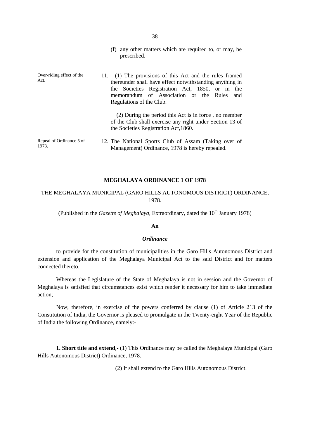|                                   | (f) any other matters which are required to, or may, be<br>prescribed.                                                                                                                                                                           |
|-----------------------------------|--------------------------------------------------------------------------------------------------------------------------------------------------------------------------------------------------------------------------------------------------|
| Over-riding effect of the<br>Act. | 11. (1) The provisions of this Act and the rules framed<br>thereunder shall have effect notwithstanding anything in<br>the Societies Registration Act, 1850, or in the<br>memorandum of Association or the Rules and<br>Regulations of the Club. |
|                                   | (2) During the period this Act is in force, no member<br>of the Club shall exercise any right under Section 13 of<br>the Societies Registration Act, 1860.                                                                                       |
| Repeal of Ordinance 5 of<br>1973. | 12. The National Sports Club of Assam (Taking over of<br>Management) Ordinance, 1978 is hereby repealed.                                                                                                                                         |

#### **MEGHALAYA ORDINANCE 1 OF 1978**

# THE MEGHALAYA MUNICIPAL (GARO HILLS AUTONOMOUS DISTRICT) ORDINANCE, 1978.

(Published in the *Gazette of Meghalaya*, Extraordinary, dated the 10<sup>th</sup> January 1978)

#### **An**

#### *Ordinance*

to provide for the constitution of municipalities in the Garo Hills Autonomous District and extension and application of the Meghalaya Municipal Act to the said District and for matters connected thereto.

Whereas the Legislature of the State of Meghalaya is not in session and the Governor of Meghalaya is satisfied that circumstances exist which render it necessary for him to take immediate action;

Now, therefore, in exercise of the powers conferred by clause (1) of Article 213 of the Constitution of India, the Governor is pleased to promulgate in the Twenty-eight Year of the Republic of India the following Ordinance, namely:-

**1. Short title and extend,-** (1) This Ordinance may be called the Meghalaya Municipal (Garo Hills Autonomous District) Ordinance, 1978.

(2) It shall extend to the Garo Hills Autonomous District.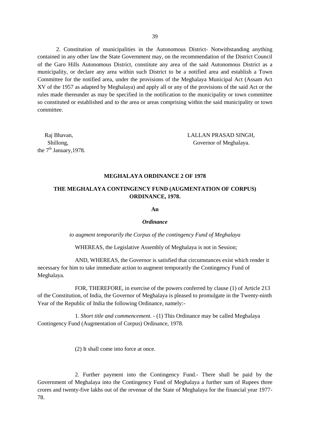2. Constitution of municipalities in the Autonomous District- Notwithstanding anything contained in any other law the State Government may, on the recommendation of the District Council of the Garo Hills Autonomous District, constitute any area of the said Autonomous District as a municipality, or declare any area within such District to be a notified area and establish a Town Committee for the notified area, under the provisions of the Meghalaya Municipal Act (Assam Act XV of the 1957 as adapted by Meghalaya) and apply all or any of the provisions of the said Act or the rules made thereunder as may be specified in the notification to the municipality or town committee so constituted or established and to the area or areas comprising within the said municipality or town committee.

the  $7<sup>th</sup>$  January, 1978.

Raj Bhavan, LALLAN PRASAD SINGH, Shillong, Governor of Meghalaya.

#### **MEGHALAYA ORDINANCE 2 OF 1978**

# **THE MEGHALAYA CONTINGENCY FUND (AUGMENTATION OF CORPUS) ORDINANCE, 1978.**

**An**

#### *Ordinance*

*to augment temporarily the Corpus of the contingency Fund of Meghalaya*

WHEREAS, the Legislative Assembly of Meghalaya is not in Session;

AND, WHEREAS, the Governor is satisfied that circumstances exist which render it necessary for him to take immediate action to augment temporarily the Contingency Fund of Meghalaya.

FOR, THEREFORE, in exercise of the powers conferred by clause (1) of Article 213 of the Constitution, of India, the Governor of Meghalaya is pleased to promulgate in the Twenty-ninth Year of the Republic of India the following Ordinance, namely:-

1. *Short title and commencement. -* (1) This Ordinance may be called Meghalaya Contingency Fund (Augmentation of Corpus) Ordinance, 1978.

(2) It shall come into force at once.

2. Further payment into the Contingency Fund.- There shall be paid by the Government of Meghalaya into the Contingency Fund of Meghalaya a further sum of Rupees three crores and twenty-five lakhs out of the revenue of the State of Meghalaya for the financial year 1977- 78.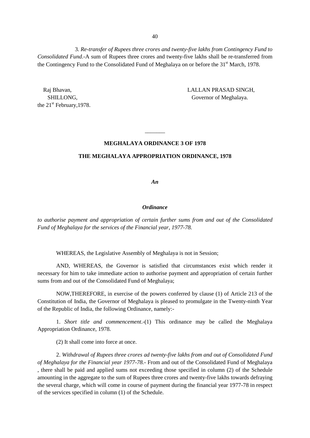3. *Re-transfer of Rupees three crores and twenty-five lakhs from Contingency Fund to Consolidated Fund.-*A sum of Rupees three crores and twenty-five lakhs shall be re-transferred from the Contingency Fund to the Consolidated Fund of Meghalaya on or before the 31<sup>st</sup> March, 1978.

the  $21<sup>st</sup>$  February, 1978.

Raj Bhavan, LALLAN PRASAD SINGH, SHILLONG, Governor of Meghalaya.

#### **MEGHALAYA ORDINANCE 3 OF 1978**

 $\overline{\phantom{a}}$  , we can also the set of  $\overline{\phantom{a}}$ 

#### **THE MEGHALAYA APPROPRIATION ORDINANCE, 1978**

*An*

#### *Ordinance*

*to authorise payment and appropriation of certain further sums from and out of the Consolidated Fund of Meghalaya for the services of the Financial year, 1977-78.*

WHEREAS, the Legislative Assembly of Meghalaya is not in Session;

AND, WHEREAS, the Governor is satisfied that circumstances exist which render it necessary for him to take immediate action to authorise payment and appropriation of certain further sums from and out of the Consolidated Fund of Meghalaya;

NOW,THEREFORE, in exercise of the powers conferred by clause (1) of Article 213 of the Constitution of India, the Governor of Meghalaya is pleased to promulgate in the Twenty-ninth Year of the Republic of India, the following Ordinance, namely:-

1. *Short title and commencement*.-(1) This ordinance may be called the Meghalaya Appropriation Ordinance, 1978.

(2) It shall come into force at once.

2. *Withdrawal of Rupees three crores ad twenty-five lakhs from and out of Consolidated Fund of Meghalaya for the Financial year 1977-78.-* From and out of the Consolidated Fund of Meghalaya , there shall be paid and applied sums not exceeding those specified in column (2) of the Schedule amounting in the aggregate to the sum of Rupees three crores and twenty-five lakhs towards defraying the several charge, which will come in course of payment during the financial year 1977-78 in respect of the services specified in column (1) of the Schedule.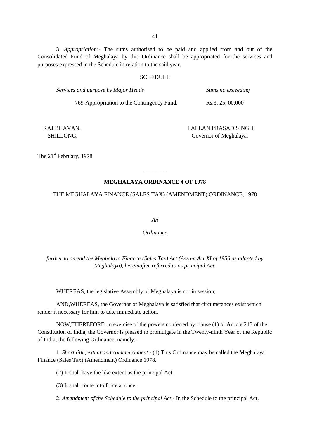3. *Appropriation:-* The sums authorised to be paid and applied from and out of the Consolidated Fund of Meghalaya by this Ordinance shall be appropriated for the services and purposes expressed in the Schedule in relation to the said year.

#### **SCHEDULE**

| Services and purpose by Major Heads        | Sums no exceeding |  |
|--------------------------------------------|-------------------|--|
| 769-Appropriation to the Contingency Fund. | Rs.3, 25, 00,000  |  |

RAJ BHAVAN, LALLAN PRASAD SINGH, SHILLONG, Governor of Meghalaya.

The 21<sup>st</sup> February, 1978.

# **MEGHALAYA ORDINANCE 4 OF 1978**

\_\_\_\_\_\_\_\_

#### THE MEGHALAYA FINANCE (SALES TAX) (AMENDMENT) ORDINANCE, 1978

*An*

*Ordinance*

*further to amend the Meghalaya Finance (Sales Tax) Act (Assam Act XI of 1956 as adapted by Meghalaya), hereinafter referred to as principal Act.*

WHEREAS, the legislative Assembly of Meghalaya is not in session;

AND,WHEREAS, the Governor of Meghalaya is satisfied that circumstances exist which render it necessary for him to take immediate action.

NOW,THEREFORE, in exercise of the powers conferred by clause (1) of Article 213 of the Constitution of India, the Governor is pleased to promulgate in the Twenty-ninth Year of the Republic of India, the following Ordinance, namely:-

1. *Short title, extent and commencement.-* (1) This Ordinance may be called the Meghalaya Finance (Sales Tax) (Amendment) Ordinance 1978.

(2) It shall have the like extent as the principal Act.

(3) It shall come into force at once.

2. *Amendment of the Schedule to the principal Act.-* In the Schedule to the principal Act.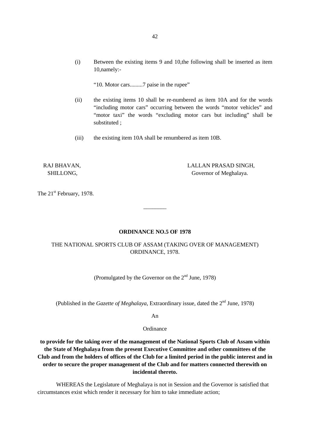"10. Motor cars.........7 paise in the rupee"

- (ii) the existing items 10 shall be re-numbered as item 10A and for the words "including motor cars" occurring between the words "motor vehicles" and "motor taxi" the words "excluding motor cars but including" shall be substituted ;
- (iii) the existing item 10A shall be renumbered as item 10B.

RAJ BHAVAN, LALLAN PRASAD SINGH, SHILLONG, Governor of Meghalaya.

The 21<sup>st</sup> February, 1978.

#### **ORDINANCE NO.5 OF 1978**

\_\_\_\_\_\_\_\_

# THE NATIONAL SPORTS CLUB OF ASSAM (TAKING OVER OF MANAGEMENT) ORDINANCE, 1978.

(Promulgated by the Governor on the  $2<sup>nd</sup>$  June, 1978)

(Published in the *Gazette of Meghalaya*, Extraordinary issue, dated the 2<sup>nd</sup> June, 1978)

An

Ordinance

**to provide for the taking over of the management of the National Sports Club of Assam within the State of Meghalaya from the present Executive Committee and other committees of the Club and from the holders of offices of the Club for a limited period in the public interest and in order to secure the proper management of the Club and for matters connected therewith on incidental thereto.**

WHEREAS the Legislature of Meghalaya is not in Session and the Governor is satisfied that circumstances exist which render it necessary for him to take immediate action;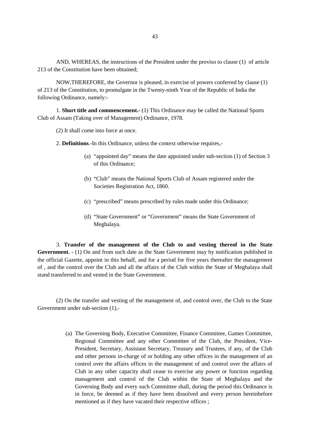AND, WHEREAS, the instructions of the President under the proviso to clause (1) of article 213 of the Constitution have been obtained;

NOW,THEREFORE, the Governor is pleased, in exercise of powers conferred by clause (1) of 213 of the Constitution, to promulgate in the Twenty-ninth Year of the Republic of India the following Ordinance, namely:-

1. **Short title and commencement.-** (1) This Ordinance may be called the National Sports Club of Assam (Taking over of Management) Ordinance, 1978.

(2) It shall come into force at once.

2. **Definitions**.-In this Ordinance, unless the context otherwise requires,-

- (a) "appointed day" means the date appointed under sub-section (1) of Section 3 of this Ordinance;
- (b) "Club" means the National Sports Club of Assam registered under the Societies Registration Act, 1860.
- (c) "prescribed" means prescribed by rules made under this Ordinance;
- (d) "State Government" or "Government" means the State Government of Meghalaya.

3. **Transfer of the management of the Club to and vesting thereof in the State Government. -** (1) On and from such date as the State Government may by notification published in the official Gazette, appoint in this behalf, and for a period for five years thereafter the management of , and the control over the Club and all the affairs of the Club within the State of Meghalaya shall stand transferred to and vested in the State Government.

(2) On the transfer and vesting of the management of, and control over, the Club to the State Government under sub-section (1),-

> (a) The Governing Body, Executive Committee, Finance Committee, Games Committee, Regional Committee and any other Committee of the Club, the President, Vice- President, Secretary, Assistant Secretary, Treasury and Trustees, if any, of the Club and other persons in-charge of or holding any other offices in the management of an control over the affairs offices in the management of and control over the affairs of Club in any other capacity shall cease to exercise any power or function regarding management and control of the Club within the State of Meghalaya and the Governing Body and every such Committee shall, during the period this Ordinance is in force, be deemed as if they have been dissolved and every person hereinbefore mentioned as if they have vacated their respective offices ;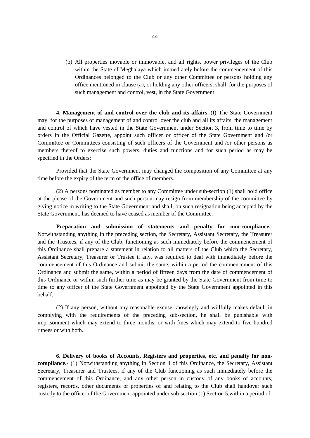(b) All properties movable or immovable, and all rights, power privileges of the Club within the State of Meghalaya which immediately before the commencement of this Ordinances belonged to the Club or any other Committee or persons holding any office mentioned in clause (a), or holding any other officers, shall, for the purposes of such management and control, vest, in the State Government.

**4. Management of and control over the club and its affairs**.-(I) The State Government may, for the purposes of management of and control over the club and all its affairs, the management and control of which have vested in the State Government under Section 3, from time to time by orders in the Official Gazette, appoint such officer or officer of the State Government and /or Committee or Committees consisting of such officers of the Government and /or other persons as members thereof to exercise such powers, duties and functions and for such period as may be specified in the Orders:

Provided that the State Government may changed the composition of any Committee at any time before the expiry of the term of the office of members.

(2) A persons nominated as member to any Committee under sub-section (1) shall hold office at the please of the Government and such person may resign from membership of the committee by giving notice in writing to the State Government and shall, on such resignation being accepted by the State Government, has deemed to have ceased as member of the Committee.

**Preparation and submission of statements and penalty for non-compliance.-** Notwithstanding anything in the preceding section, the Secretary, Assistant Secretary, the Treasurer and the Trustees, if any of the Club, functioning as such immediately before the commencement of this Ordinance shall prepare a statement in relation to all matters of the Club which the Secretary, Assistant Secretary, Treasurer or Trustee if any, was required to deal with immediately before the commencement of this Ordinance and submit the same, within a period the commencement of this Ordinance and submit the same, within a period of fifteen days from the date of commencement of this Ordinance or within such further time as may be granted by the State Government from time to time to any officer of the State Government appointed by the State Government appointed in this behalf.

(2) If any person, without any reasonable excuse knowingly and willfully makes default in complying with the requirements of the preceding sub-section, he shall be punishable with imprisonment which may extend to three months, or with fines which may extend to five hundred rupees or with both.

**6. Delivery of books of Accounts, Registers and properties, etc, and penalty for non compliance.-** (1) Notwithstanding anything in Section 4 of this Ordinance, the Secretary, Assistant Secretary, Treasurer and Trustees, if any of the Club functioning as such immediately before the commencement of this Ordinance, and any other person in custody of any books of accounts, registers, records, other documents or properties of and relating to the Club shall handover such custody to the officer of the Government appointed under sub-section (1) Section 5,within a period of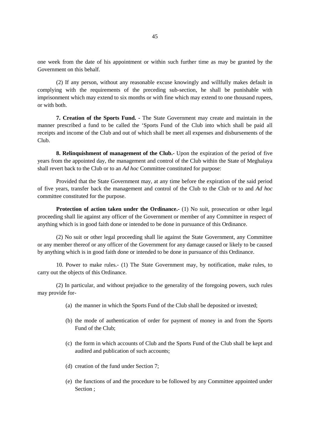one week from the date of his appointment or within such further time as may be granted by the Government on this behalf.

(2) If any person, without any reasonable excuse knowingly and willfully makes default in complying with the requirements of the preceding sub-section, he shall be punishable with imprisonment which may extend to six months or with fine which may extend to one thousand rupees, or with both.

**7. Creation of the Sports Fund. -** The State Government may create and maintain in the manner prescribed a fund to be called the 'Sports Fund of the Club into which shall be paid all receipts and income of the Club and out of which shall be meet all expenses and disbursements of the Club.

**8. Relinquishment of management of the Club.-** Upon the expiration of the period of five years from the appointed day, the management and control of the Club within the State of Meghalaya shall revert back to the Club or to an *Ad hoc* Committee constituted for purpose:

Provided that the State Government may, at any time before the expiration of the said period of five years, transfer back the management and control of the Club to the Club or to and *Ad hoc* committee constituted for the purpose.

**Protection of action taken under the Ordinance.**- (1) No suit, prosecution or other legal proceeding shall lie against any officer of the Government or member of any Committee in respect of anything which is in good faith done or intended to be done in pursuance of this Ordinance.

(2) No suit or other legal proceeding shall lie against the State Government, any Committee or any member thereof or any officer of the Government for any damage caused or likely to be caused by anything which is in good faith done or intended to be done in pursuance of this Ordinance.

10. Power to make rules.- (1) The State Government may, by notification, make rules, to carry out the objects of this Ordinance.

(2) In particular, and without prejudice to the generality of the foregoing powers, such rules may provide for-

- (a) the manner in which the Sports Fund of the Club shall be deposited or invested;
- (b) the mode of authentication of order for payment of money in and from the Sports Fund of the Club;
- (c) the form in which accounts of Club and the Sports Fund of the Club shall be kept and audited and publication of such accounts;
- (d) creation of the fund under Section 7;
- (e) the functions of and the procedure to be followed by any Committee appointed under Section ;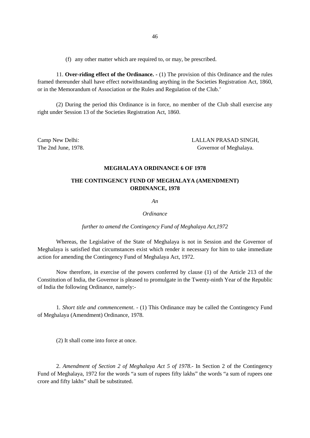(f) any other matter which are required to, or may, be prescribed.

11. **Over-riding effect of the Ordinance. -** (1) The provision of this Ordinance and the rules framed thereunder shall have effect notwithstanding anything in the Societies Registration Act, 1860, or in the Memorandum of Association or the Rules and Regulation of the Club.'

(2) During the period this Ordinance is in force, no member of the Club shall exercise any right under Session 13 of the Societies Registration Act, 1860.

Camp New Delhi: LALLAN PRASAD SINGH, The 2nd June, 1978. The 2nd June, 1978.

#### **MEGHALAYA ORDINANCE 6 OF 1978**

### **THE CONTINGENCY FUND OF MEGHALAYA (AMENDMENT) ORDINANCE, 1978**

*An*

*Ordinance*

*further to amend the Contingency Fund of Meghalaya Act,1972*

Whereas, the Legislative of the State of Meghalaya is not in Session and the Governor of Meghalaya is satisfied that circumstances exist which render it necessary for him to take immediate action for amending the Contingency Fund of Meghalaya Act, 1972.

Now therefore, in exercise of the powers conferred by clause (1) of the Article 213 of the Constitution of India, the Governor is pleased to promulgate in the Twenty-ninth Year of the Republic of India the following Ordinance, namely:-

1*. Short title and commencement*. - (1) This Ordinance may be called the Contingency Fund of Meghalaya (Amendment) Ordinance, 1978.

(2) It shall come into force at once.

2. *Amendment of Section 2 of Meghalaya Act 5 of 1978*.- In Section 2 of the Contingency Fund of Meghalaya, 1972 for the words "a sum of rupees fifty lakhs" the words "a sum of rupees one crore and fifty lakhs" shall be substituted.